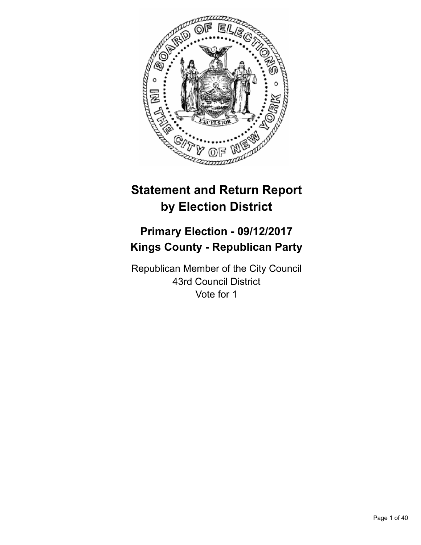

# **Statement and Return Report by Election District**

# **Primary Election - 09/12/2017 Kings County - Republican Party**

Republican Member of the City Council 43rd Council District Vote for 1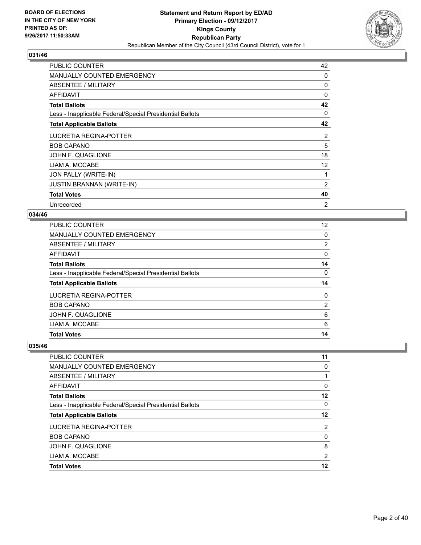

| <b>PUBLIC COUNTER</b>                                    | 42 |
|----------------------------------------------------------|----|
| <b>MANUALLY COUNTED EMERGENCY</b>                        | 0  |
| ABSENTEE / MILITARY                                      | 0  |
| AFFIDAVIT                                                | 0  |
| <b>Total Ballots</b>                                     | 42 |
| Less - Inapplicable Federal/Special Presidential Ballots | 0  |
| <b>Total Applicable Ballots</b>                          | 42 |
| LUCRETIA REGINA-POTTER                                   | 2  |
| <b>BOB CAPANO</b>                                        | 5  |
| JOHN F. QUAGLIONE                                        | 18 |
| LIAM A. MCCABE                                           | 12 |
| JON PALLY (WRITE-IN)                                     | 1  |
| <b>JUSTIN BRANNAN (WRITE-IN)</b>                         | 2  |
| <b>Total Votes</b>                                       | 40 |
| Unrecorded                                               | 2  |

#### **034/46**

| <b>PUBLIC COUNTER</b>                                    | 12 <sup>°</sup> |
|----------------------------------------------------------|-----------------|
| MANUALLY COUNTED EMERGENCY                               | 0               |
| ABSENTEE / MILITARY                                      | 2               |
| AFFIDAVIT                                                | $\Omega$        |
| <b>Total Ballots</b>                                     | 14              |
| Less - Inapplicable Federal/Special Presidential Ballots | 0               |
| <b>Total Applicable Ballots</b>                          | 14              |
| LUCRETIA REGINA-POTTER                                   | 0               |
| <b>BOB CAPANO</b>                                        | 2               |
| JOHN F. QUAGLIONE                                        | 6               |
| LIAM A. MCCABE                                           | 6               |
| <b>Total Votes</b>                                       | 14              |

| 11 |
|----|
| 0  |
|    |
| 0  |
| 12 |
| 0  |
| 12 |
| 2  |
| 0  |
| 8  |
| 2  |
| 12 |
|    |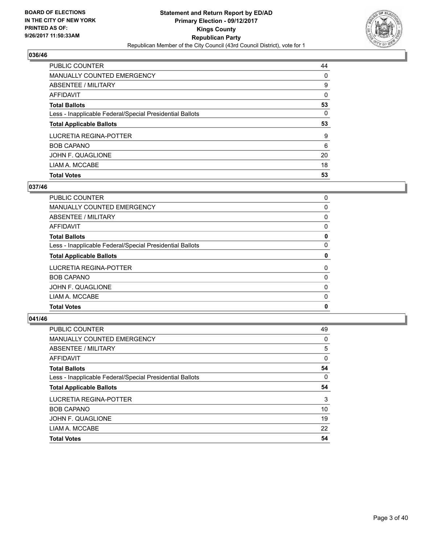

| <b>PUBLIC COUNTER</b>                                    | 44 |
|----------------------------------------------------------|----|
| <b>MANUALLY COUNTED EMERGENCY</b>                        | 0  |
| ABSENTEE / MILITARY                                      | 9  |
| AFFIDAVIT                                                | 0  |
| <b>Total Ballots</b>                                     | 53 |
| Less - Inapplicable Federal/Special Presidential Ballots | 0  |
| <b>Total Applicable Ballots</b>                          | 53 |
| LUCRETIA REGINA-POTTER                                   | 9  |
| <b>BOB CAPANO</b>                                        | 6  |
| JOHN F. QUAGLIONE                                        | 20 |
| LIAM A. MCCABE                                           |    |
|                                                          | 18 |

## **037/46**

| <b>Total Votes</b>                                       | 0 |
|----------------------------------------------------------|---|
| LIAM A. MCCABE                                           | 0 |
| JOHN F. QUAGLIONE                                        | 0 |
| <b>BOB CAPANO</b>                                        | 0 |
| LUCRETIA REGINA-POTTER                                   | 0 |
| <b>Total Applicable Ballots</b>                          | 0 |
| Less - Inapplicable Federal/Special Presidential Ballots | 0 |
| <b>Total Ballots</b>                                     | 0 |
| AFFIDAVIT                                                | 0 |
| ABSENTEE / MILITARY                                      | 0 |
| <b>MANUALLY COUNTED EMERGENCY</b>                        | 0 |
| <b>PUBLIC COUNTER</b>                                    | 0 |

| <b>PUBLIC COUNTER</b>                                    | 49          |
|----------------------------------------------------------|-------------|
| MANUALLY COUNTED EMERGENCY                               | 0           |
| ABSENTEE / MILITARY                                      | 5           |
| AFFIDAVIT                                                | $\mathbf 0$ |
| <b>Total Ballots</b>                                     | 54          |
| Less - Inapplicable Federal/Special Presidential Ballots | 0           |
| <b>Total Applicable Ballots</b>                          | 54          |
| LUCRETIA REGINA-POTTER                                   | 3           |
| <b>BOB CAPANO</b>                                        | 10          |
| JOHN F. QUAGLIONE                                        | 19          |
| LIAM A. MCCABE                                           | 22          |
| <b>Total Votes</b>                                       | 54          |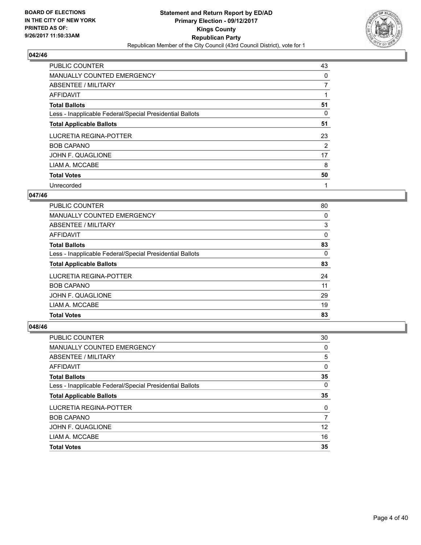

| PUBLIC COUNTER                                           | 43 |
|----------------------------------------------------------|----|
| MANUALLY COUNTED EMERGENCY                               | 0  |
| ABSENTEE / MILITARY                                      | 7  |
| AFFIDAVIT                                                |    |
| <b>Total Ballots</b>                                     | 51 |
| Less - Inapplicable Federal/Special Presidential Ballots | 0  |
| <b>Total Applicable Ballots</b>                          | 51 |
| LUCRETIA REGINA-POTTER                                   | 23 |
| <b>BOB CAPANO</b>                                        | 2  |
| JOHN F. QUAGLIONE                                        | 17 |
| LIAM A. MCCABE                                           | 8  |
| <b>Total Votes</b>                                       | 50 |
| Unrecorded                                               | 1  |

#### **047/46**

| PUBLIC COUNTER                                           | 80 |
|----------------------------------------------------------|----|
| <b>MANUALLY COUNTED EMERGENCY</b>                        | 0  |
| ABSENTEE / MILITARY                                      | 3  |
| AFFIDAVIT                                                | 0  |
| <b>Total Ballots</b>                                     | 83 |
| Less - Inapplicable Federal/Special Presidential Ballots | 0  |
| <b>Total Applicable Ballots</b>                          | 83 |
| LUCRETIA REGINA-POTTER                                   | 24 |
| <b>BOB CAPANO</b>                                        | 11 |
| JOHN F. QUAGLIONE                                        | 29 |
| LIAM A. MCCABE                                           | 19 |
| <b>Total Votes</b>                                       | 83 |

| <b>PUBLIC COUNTER</b>                                    | 30          |
|----------------------------------------------------------|-------------|
| <b>MANUALLY COUNTED EMERGENCY</b>                        | 0           |
| ABSENTEE / MILITARY                                      | 5           |
| AFFIDAVIT                                                | $\mathbf 0$ |
| <b>Total Ballots</b>                                     | 35          |
| Less - Inapplicable Federal/Special Presidential Ballots | 0           |
| <b>Total Applicable Ballots</b>                          | 35          |
| LUCRETIA REGINA-POTTER                                   | 0           |
| <b>BOB CAPANO</b>                                        | 7           |
| JOHN F. QUAGLIONE                                        | 12          |
| LIAM A. MCCABE                                           | 16          |
| <b>Total Votes</b>                                       | 35          |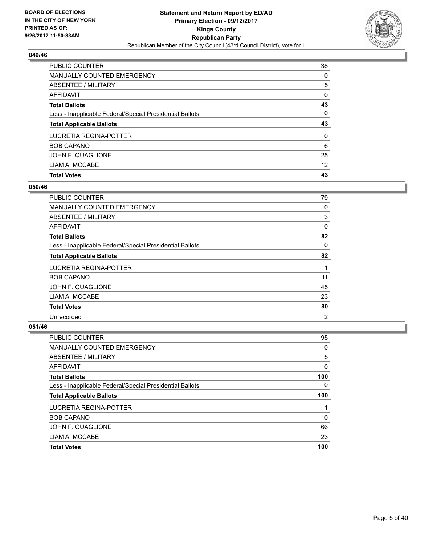

| <b>PUBLIC COUNTER</b>                                    | 38 |
|----------------------------------------------------------|----|
| <b>MANUALLY COUNTED EMERGENCY</b>                        | 0  |
| ABSENTEE / MILITARY                                      | 5  |
| AFFIDAVIT                                                | 0  |
| <b>Total Ballots</b>                                     | 43 |
| Less - Inapplicable Federal/Special Presidential Ballots | 0  |
| <b>Total Applicable Ballots</b>                          | 43 |
|                                                          |    |
|                                                          | 0  |
| <b>BOB CAPANO</b>                                        | 6  |
| LUCRETIA REGINA-POTTER<br>JOHN F. QUAGLIONE              | 25 |
| LIAM A. MCCABE                                           | 12 |

## **050/46**

| <b>PUBLIC COUNTER</b>                                    | 79          |
|----------------------------------------------------------|-------------|
| <b>MANUALLY COUNTED EMERGENCY</b>                        | 0           |
| ABSENTEE / MILITARY                                      | 3           |
| AFFIDAVIT                                                | $\mathbf 0$ |
| <b>Total Ballots</b>                                     | 82          |
| Less - Inapplicable Federal/Special Presidential Ballots | 0           |
| <b>Total Applicable Ballots</b>                          | 82          |
| LUCRETIA REGINA-POTTER                                   | 1           |
| <b>BOB CAPANO</b>                                        | 11          |
| JOHN F. QUAGLIONE                                        | 45          |
| LIAM A. MCCABE                                           | 23          |
| <b>Total Votes</b>                                       | 80          |
| Unrecorded                                               | 2           |

| PUBLIC COUNTER                                           | 95  |
|----------------------------------------------------------|-----|
| MANUALLY COUNTED EMERGENCY                               | 0   |
| ABSENTEE / MILITARY                                      | 5   |
| AFFIDAVIT                                                | 0   |
| <b>Total Ballots</b>                                     | 100 |
| Less - Inapplicable Federal/Special Presidential Ballots | 0   |
| <b>Total Applicable Ballots</b>                          | 100 |
|                                                          |     |
| LUCRETIA REGINA-POTTER                                   |     |
| <b>BOB CAPANO</b>                                        | 10  |
| JOHN F. QUAGLIONE                                        | 66  |
| LIAM A. MCCABE                                           | 23  |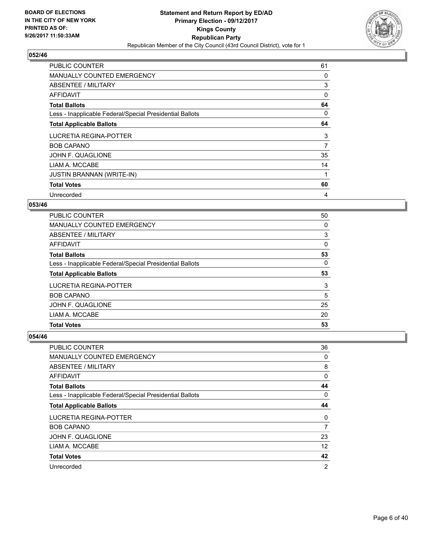

| <b>PUBLIC COUNTER</b>                                    | 61 |
|----------------------------------------------------------|----|
| <b>MANUALLY COUNTED EMERGENCY</b>                        | 0  |
| <b>ABSENTEE / MILITARY</b>                               | 3  |
| AFFIDAVIT                                                | 0  |
| <b>Total Ballots</b>                                     | 64 |
| Less - Inapplicable Federal/Special Presidential Ballots | 0  |
| <b>Total Applicable Ballots</b>                          | 64 |
| LUCRETIA REGINA-POTTER                                   | 3  |
| <b>BOB CAPANO</b>                                        | 7  |
| JOHN F. QUAGLIONE                                        | 35 |
| LIAM A. MCCABE                                           | 14 |
| <b>JUSTIN BRANNAN (WRITE-IN)</b>                         | 1  |
| <b>Total Votes</b>                                       | 60 |
| Unrecorded                                               | 4  |

#### **053/46**

| <b>PUBLIC COUNTER</b>                                    | 50 |
|----------------------------------------------------------|----|
| <b>MANUALLY COUNTED EMERGENCY</b>                        | 0  |
| ABSENTEE / MILITARY                                      | 3  |
| AFFIDAVIT                                                | 0  |
| <b>Total Ballots</b>                                     | 53 |
| Less - Inapplicable Federal/Special Presidential Ballots | 0  |
| <b>Total Applicable Ballots</b>                          | 53 |
| LUCRETIA REGINA-POTTER                                   | 3  |
| <b>BOB CAPANO</b>                                        | 5  |
| JOHN F. QUAGLIONE                                        | 25 |
| LIAM A. MCCABE                                           | 20 |
| <b>Total Votes</b>                                       | 53 |

| <b>PUBLIC COUNTER</b>                                    | 36             |
|----------------------------------------------------------|----------------|
| MANUALLY COUNTED EMERGENCY                               | 0              |
| ABSENTEE / MILITARY                                      | 8              |
| AFFIDAVIT                                                | 0              |
| <b>Total Ballots</b>                                     | 44             |
| Less - Inapplicable Federal/Special Presidential Ballots | 0              |
| <b>Total Applicable Ballots</b>                          | 44             |
| <b>LUCRETIA REGINA-POTTER</b>                            | 0              |
| <b>BOB CAPANO</b>                                        | 7              |
| JOHN F. QUAGLIONE                                        | 23             |
| LIAM A. MCCABE                                           | 12             |
| <b>Total Votes</b>                                       | 42             |
| Unrecorded                                               | $\overline{2}$ |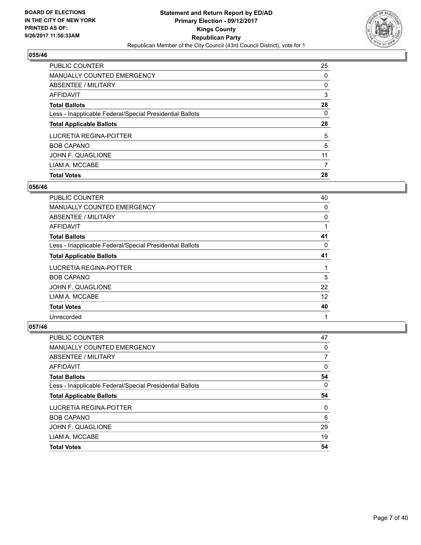

| <b>PUBLIC COUNTER</b>                                    | 25 |
|----------------------------------------------------------|----|
| MANUALLY COUNTED EMERGENCY                               | 0  |
| ABSENTEE / MILITARY                                      | 0  |
| AFFIDAVIT                                                | 3  |
| <b>Total Ballots</b>                                     | 28 |
| Less - Inapplicable Federal/Special Presidential Ballots | 0  |
| <b>Total Applicable Ballots</b>                          | 28 |
| LUCRETIA REGINA-POTTER                                   | 5  |
| <b>BOB CAPANO</b>                                        | 5  |
| JOHN F. QUAGLIONE                                        | 11 |
| LIAM A. MCCABE                                           | 7  |
| <b>Total Votes</b>                                       | 28 |

## **056/46**

| <b>PUBLIC COUNTER</b>                                    | 40 |
|----------------------------------------------------------|----|
| <b>MANUALLY COUNTED EMERGENCY</b>                        | 0  |
| ABSENTEE / MILITARY                                      | 0  |
| <b>AFFIDAVIT</b>                                         | 1  |
| <b>Total Ballots</b>                                     | 41 |
| Less - Inapplicable Federal/Special Presidential Ballots | 0  |
| <b>Total Applicable Ballots</b>                          | 41 |
| LUCRETIA REGINA-POTTER                                   |    |
| <b>BOB CAPANO</b>                                        | 5  |
| JOHN F. QUAGLIONE                                        | 22 |
| LIAM A. MCCABE                                           | 12 |
| <b>Total Votes</b>                                       | 40 |
| Unrecorded                                               | 1  |

| PUBLIC COUNTER                                           | 47 |
|----------------------------------------------------------|----|
| <b>MANUALLY COUNTED EMERGENCY</b>                        | 0  |
| ABSENTEE / MILITARY                                      | 7  |
| AFFIDAVIT                                                | 0  |
| <b>Total Ballots</b>                                     | 54 |
| Less - Inapplicable Federal/Special Presidential Ballots | 0  |
| <b>Total Applicable Ballots</b>                          | 54 |
| LUCRETIA REGINA-POTTER                                   | 0  |
| <b>BOB CAPANO</b>                                        | 6  |
| JOHN F. QUAGLIONE                                        | 29 |
| LIAM A. MCCABE                                           | 19 |
| <b>Total Votes</b>                                       | 54 |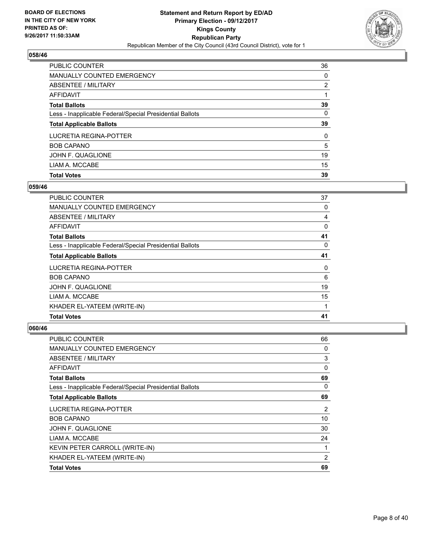

| <b>PUBLIC COUNTER</b>                                    | 36 |
|----------------------------------------------------------|----|
| <b>MANUALLY COUNTED EMERGENCY</b>                        | 0  |
| <b>ABSENTEE / MILITARY</b>                               | 2  |
| AFFIDAVIT                                                |    |
| <b>Total Ballots</b>                                     | 39 |
| Less - Inapplicable Federal/Special Presidential Ballots | 0  |
| <b>Total Applicable Ballots</b>                          | 39 |
| LUCRETIA REGINA-POTTER                                   | 0  |
| <b>BOB CAPANO</b>                                        | 5  |
| JOHN F. QUAGLIONE                                        | 19 |
| LIAM A. MCCABE                                           | 15 |
| <b>Total Votes</b>                                       | 39 |

#### **059/46**

| <b>PUBLIC COUNTER</b>                                    | 37 |
|----------------------------------------------------------|----|
| <b>MANUALLY COUNTED EMERGENCY</b>                        | 0  |
| ABSENTEE / MILITARY                                      | 4  |
| AFFIDAVIT                                                | 0  |
| <b>Total Ballots</b>                                     | 41 |
| Less - Inapplicable Federal/Special Presidential Ballots | 0  |
| <b>Total Applicable Ballots</b>                          | 41 |
| LUCRETIA REGINA-POTTER                                   | 0  |
| <b>BOB CAPANO</b>                                        | 6  |
| JOHN F. QUAGLIONE                                        | 19 |
| LIAM A. MCCABE                                           | 15 |
| KHADER EL-YATEEM (WRITE-IN)                              |    |
| <b>Total Votes</b>                                       | 41 |
|                                                          |    |

| <b>PUBLIC COUNTER</b>                                    | 66 |
|----------------------------------------------------------|----|
| MANUALLY COUNTED EMERGENCY                               | 0  |
| <b>ABSENTEE / MILITARY</b>                               | 3  |
| AFFIDAVIT                                                | 0  |
| <b>Total Ballots</b>                                     | 69 |
| Less - Inapplicable Federal/Special Presidential Ballots | 0  |
| <b>Total Applicable Ballots</b>                          | 69 |
| <b>LUCRETIA REGINA-POTTER</b>                            | 2  |
| <b>BOB CAPANO</b>                                        | 10 |
| JOHN F. QUAGLIONE                                        | 30 |
| LIAM A. MCCABE                                           | 24 |
| KEVIN PETER CARROLL (WRITE-IN)                           | 1  |
| KHADER EL-YATEEM (WRITE-IN)                              | 2  |
| <b>Total Votes</b>                                       | 69 |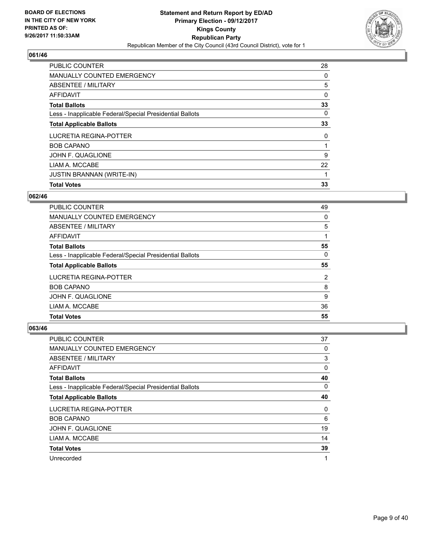

| <b>Total Votes</b>                                       | 33 |
|----------------------------------------------------------|----|
| <b>JUSTIN BRANNAN (WRITE-IN)</b>                         |    |
| LIAM A. MCCABE                                           | 22 |
| JOHN F. QUAGLIONE                                        | 9  |
| <b>BOB CAPANO</b>                                        |    |
| LUCRETIA REGINA-POTTER                                   | 0  |
| <b>Total Applicable Ballots</b>                          | 33 |
| Less - Inapplicable Federal/Special Presidential Ballots | 0  |
| <b>Total Ballots</b>                                     | 33 |
| AFFIDAVIT                                                | 0  |
| ABSENTEE / MILITARY                                      | 5  |
| <b>MANUALLY COUNTED EMERGENCY</b>                        | 0  |
| <b>PUBLIC COUNTER</b>                                    | 28 |

## **062/46**

| <b>PUBLIC COUNTER</b>                                    | 49             |
|----------------------------------------------------------|----------------|
| <b>MANUALLY COUNTED EMERGENCY</b>                        | 0              |
| ABSENTEE / MILITARY                                      | 5              |
| AFFIDAVIT                                                |                |
| <b>Total Ballots</b>                                     | 55             |
| Less - Inapplicable Federal/Special Presidential Ballots | 0              |
| <b>Total Applicable Ballots</b>                          | 55             |
| LUCRETIA REGINA-POTTER                                   | $\overline{2}$ |
| <b>BOB CAPANO</b>                                        | 8              |
| JOHN F. QUAGLIONE                                        | 9              |
| LIAM A. MCCABE                                           | 36             |
| <b>Total Votes</b>                                       | 55             |

| PUBLIC COUNTER                                           | 37 |
|----------------------------------------------------------|----|
| MANUALLY COUNTED EMERGENCY                               | 0  |
| ABSENTEE / MILITARY                                      | 3  |
| AFFIDAVIT                                                | 0  |
| <b>Total Ballots</b>                                     | 40 |
| Less - Inapplicable Federal/Special Presidential Ballots | 0  |
| <b>Total Applicable Ballots</b>                          | 40 |
| <b>LUCRETIA REGINA-POTTER</b>                            | 0  |
| <b>BOB CAPANO</b>                                        | 6  |
| JOHN F. QUAGLIONE                                        | 19 |
| LIAM A. MCCABE                                           | 14 |
| <b>Total Votes</b>                                       | 39 |
| Unrecorded                                               | 1  |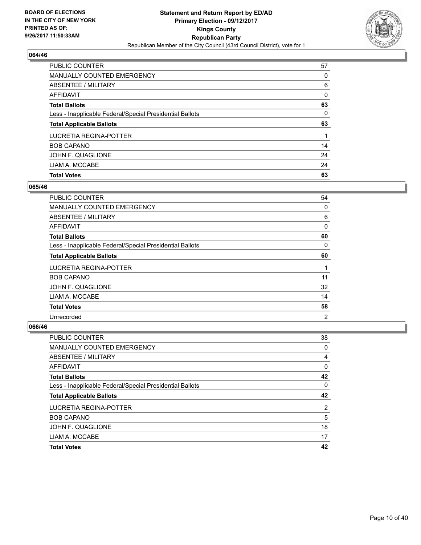

| <b>PUBLIC COUNTER</b>                                    | 57 |
|----------------------------------------------------------|----|
| <b>MANUALLY COUNTED EMERGENCY</b>                        | 0  |
| ABSENTEE / MILITARY                                      | 6  |
| AFFIDAVIT                                                | 0  |
| <b>Total Ballots</b>                                     | 63 |
| Less - Inapplicable Federal/Special Presidential Ballots | 0  |
| <b>Total Applicable Ballots</b>                          | 63 |
|                                                          |    |
| LUCRETIA REGINA-POTTER                                   |    |
| <b>BOB CAPANO</b>                                        | 14 |
| JOHN F. QUAGLIONE                                        | 24 |
| LIAM A. MCCABE                                           | 24 |

## **065/46**

| <b>PUBLIC COUNTER</b>                                    | 54 |
|----------------------------------------------------------|----|
| <b>MANUALLY COUNTED EMERGENCY</b>                        | 0  |
| ABSENTEE / MILITARY                                      | 6  |
| AFFIDAVIT                                                | 0  |
| <b>Total Ballots</b>                                     | 60 |
| Less - Inapplicable Federal/Special Presidential Ballots | 0  |
| <b>Total Applicable Ballots</b>                          | 60 |
| LUCRETIA REGINA-POTTER                                   | 1  |
| <b>BOB CAPANO</b>                                        | 11 |
| JOHN F. QUAGLIONE                                        | 32 |
| LIAM A. MCCABE                                           | 14 |
| <b>Total Votes</b>                                       | 58 |
| Unrecorded                                               | 2  |

| PUBLIC COUNTER                                           | 38 |
|----------------------------------------------------------|----|
| MANUALLY COUNTED EMERGENCY                               | 0  |
| ABSENTEE / MILITARY                                      | 4  |
| AFFIDAVIT                                                | 0  |
| <b>Total Ballots</b>                                     | 42 |
| Less - Inapplicable Federal/Special Presidential Ballots | 0  |
| <b>Total Applicable Ballots</b>                          | 42 |
| LUCRETIA REGINA-POTTER                                   | 2  |
| <b>BOB CAPANO</b>                                        | 5  |
| JOHN F. QUAGLIONE                                        | 18 |
| LIAM A. MCCABE                                           | 17 |
| <b>Total Votes</b>                                       | 42 |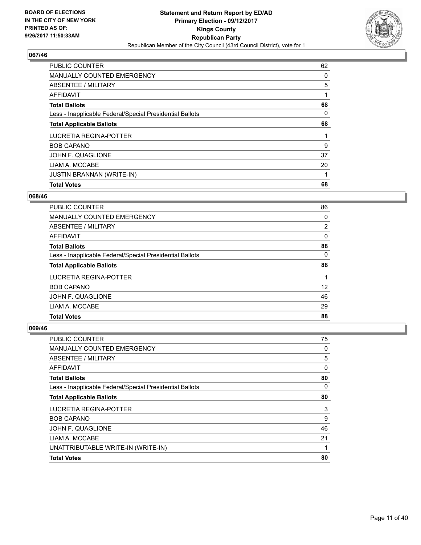

| <b>PUBLIC COUNTER</b>                                    | 62 |
|----------------------------------------------------------|----|
| <b>MANUALLY COUNTED EMERGENCY</b>                        | 0  |
| ABSENTEE / MILITARY                                      | 5  |
| AFFIDAVIT                                                |    |
| <b>Total Ballots</b>                                     | 68 |
| Less - Inapplicable Federal/Special Presidential Ballots | 0  |
| <b>Total Applicable Ballots</b>                          | 68 |
| LUCRETIA REGINA-POTTER                                   |    |
| <b>BOB CAPANO</b>                                        | 9  |
| JOHN F. QUAGLIONE                                        | 37 |
| LIAM A. MCCABE                                           | 20 |
| <b>JUSTIN BRANNAN (WRITE-IN)</b>                         |    |
| <b>Total Votes</b>                                       | 68 |

#### **068/46**

| PUBLIC COUNTER                                           | 86 |
|----------------------------------------------------------|----|
| <b>MANUALLY COUNTED EMERGENCY</b>                        | 0  |
| ABSENTEE / MILITARY                                      | 2  |
| AFFIDAVIT                                                | 0  |
| <b>Total Ballots</b>                                     | 88 |
| Less - Inapplicable Federal/Special Presidential Ballots | 0  |
| <b>Total Applicable Ballots</b>                          | 88 |
| LUCRETIA REGINA-POTTER                                   |    |
| <b>BOB CAPANO</b>                                        | 12 |
| JOHN F. QUAGLIONE                                        | 46 |
| LIAM A. MCCABE                                           | 29 |
| <b>Total Votes</b>                                       | 88 |

| <b>Total Votes</b>                                       | 80 |
|----------------------------------------------------------|----|
| UNATTRIBUTABLE WRITE-IN (WRITE-IN)                       | 1  |
| LIAM A. MCCABE                                           | 21 |
| JOHN F. QUAGLIONE                                        | 46 |
| <b>BOB CAPANO</b>                                        | 9  |
| LUCRETIA REGINA-POTTER                                   | 3  |
| <b>Total Applicable Ballots</b>                          | 80 |
| Less - Inapplicable Federal/Special Presidential Ballots | 0  |
| <b>Total Ballots</b>                                     | 80 |
| <b>AFFIDAVIT</b>                                         | 0  |
| <b>ABSENTEE / MILITARY</b>                               | 5  |
| <b>MANUALLY COUNTED EMERGENCY</b>                        | 0  |
| PUBLIC COUNTER                                           | 75 |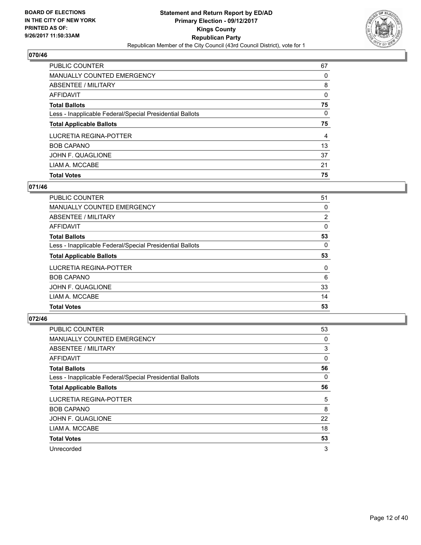

| <b>PUBLIC COUNTER</b>                                    | 67 |
|----------------------------------------------------------|----|
| <b>MANUALLY COUNTED EMERGENCY</b>                        | 0  |
| ABSENTEE / MILITARY                                      | 8  |
| AFFIDAVIT                                                | 0  |
| <b>Total Ballots</b>                                     | 75 |
| Less - Inapplicable Federal/Special Presidential Ballots | 0  |
| <b>Total Applicable Ballots</b>                          | 75 |
| LUCRETIA REGINA-POTTER                                   | 4  |
| <b>BOB CAPANO</b>                                        | 13 |
| JOHN F. QUAGLIONE                                        | 37 |
| LIAM A. MCCABE                                           | 21 |
|                                                          |    |

## **071/46**

| <b>PUBLIC COUNTER</b>                                    | 51             |
|----------------------------------------------------------|----------------|
| <b>MANUALLY COUNTED EMERGENCY</b>                        | 0              |
| ABSENTEE / MILITARY                                      | $\overline{2}$ |
| AFFIDAVIT                                                | 0              |
| <b>Total Ballots</b>                                     | 53             |
| Less - Inapplicable Federal/Special Presidential Ballots | 0              |
| <b>Total Applicable Ballots</b>                          | 53             |
| LUCRETIA REGINA-POTTER                                   | 0              |
| <b>BOB CAPANO</b>                                        | 6              |
| JOHN F. QUAGLIONE                                        | 33             |
| LIAM A. MCCABE                                           | 14             |
| <b>Total Votes</b>                                       | 53             |

| <b>PUBLIC COUNTER</b>                                    | 53 |
|----------------------------------------------------------|----|
| MANUALLY COUNTED EMERGENCY                               | 0  |
| ABSENTEE / MILITARY                                      | 3  |
| AFFIDAVIT                                                | 0  |
| <b>Total Ballots</b>                                     | 56 |
| Less - Inapplicable Federal/Special Presidential Ballots | 0  |
| <b>Total Applicable Ballots</b>                          | 56 |
| LUCRETIA REGINA-POTTER                                   | 5  |
| <b>BOB CAPANO</b>                                        | 8  |
| JOHN F. QUAGLIONE                                        | 22 |
| LIAM A. MCCABE                                           | 18 |
| <b>Total Votes</b>                                       | 53 |
| Unrecorded                                               | 3  |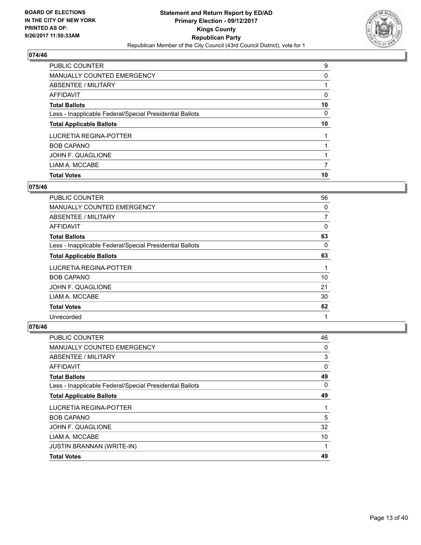

| <b>PUBLIC COUNTER</b>                                    | 9  |
|----------------------------------------------------------|----|
| MANUALLY COUNTED EMERGENCY                               | 0  |
| ABSENTEE / MILITARY                                      |    |
| AFFIDAVIT                                                | 0  |
| <b>Total Ballots</b>                                     | 10 |
| Less - Inapplicable Federal/Special Presidential Ballots | 0  |
| <b>Total Applicable Ballots</b>                          | 10 |
| LUCRETIA REGINA-POTTER                                   |    |
| <b>BOB CAPANO</b>                                        |    |
| JOHN F. QUAGLIONE                                        |    |
| LIAM A. MCCABE                                           | 7  |
| <b>Total Votes</b>                                       | 10 |

#### **075/46**

| <b>PUBLIC COUNTER</b>                                    | 56 |
|----------------------------------------------------------|----|
| <b>MANUALLY COUNTED EMERGENCY</b>                        | 0  |
| ABSENTEE / MILITARY                                      | 7  |
| <b>AFFIDAVIT</b>                                         | 0  |
| <b>Total Ballots</b>                                     | 63 |
| Less - Inapplicable Federal/Special Presidential Ballots | 0  |
| <b>Total Applicable Ballots</b>                          | 63 |
| LUCRETIA REGINA-POTTER                                   |    |
| <b>BOB CAPANO</b>                                        | 10 |
| JOHN F. QUAGLIONE                                        | 21 |
| LIAM A. MCCABE                                           | 30 |
| <b>Total Votes</b>                                       | 62 |
| Unrecorded                                               | 1  |

| PUBLIC COUNTER                                           | 46 |
|----------------------------------------------------------|----|
| MANUALLY COUNTED EMERGENCY                               | 0  |
| ABSENTEE / MILITARY                                      | 3  |
| AFFIDAVIT                                                | 0  |
| <b>Total Ballots</b>                                     | 49 |
| Less - Inapplicable Federal/Special Presidential Ballots | 0  |
| <b>Total Applicable Ballots</b>                          | 49 |
| LUCRETIA REGINA-POTTER                                   | 1  |
| <b>BOB CAPANO</b>                                        | 5  |
| JOHN F. QUAGLIONE                                        | 32 |
| LIAM A. MCCABE                                           | 10 |
| JUSTIN BRANNAN (WRITE-IN)                                | 1  |
| <b>Total Votes</b>                                       | 49 |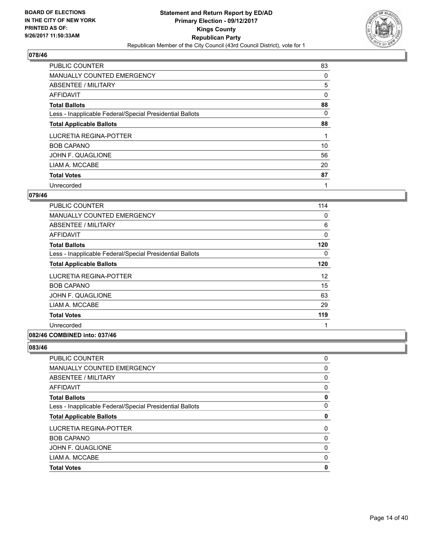

| <b>PUBLIC COUNTER</b>                                    | 83 |
|----------------------------------------------------------|----|
| <b>MANUALLY COUNTED EMERGENCY</b>                        | 0  |
| ABSENTEE / MILITARY                                      | 5  |
| AFFIDAVIT                                                | 0  |
| <b>Total Ballots</b>                                     | 88 |
| Less - Inapplicable Federal/Special Presidential Ballots | 0  |
| <b>Total Applicable Ballots</b>                          | 88 |
| LUCRETIA REGINA-POTTER                                   |    |
| <b>BOB CAPANO</b>                                        | 10 |
| JOHN F. QUAGLIONE                                        | 56 |
| LIAM A. MCCABE                                           | 20 |
| <b>Total Votes</b>                                       | 87 |
| Unrecorded                                               | 1  |

#### **079/46**

| PUBLIC COUNTER                                           | 114 |
|----------------------------------------------------------|-----|
| <b>MANUALLY COUNTED EMERGENCY</b>                        | 0   |
| ABSENTEE / MILITARY                                      | 6   |
| AFFIDAVIT                                                | 0   |
| <b>Total Ballots</b>                                     | 120 |
| Less - Inapplicable Federal/Special Presidential Ballots | 0   |
| <b>Total Applicable Ballots</b>                          | 120 |
| LUCRETIA REGINA-POTTER                                   | 12  |
| <b>BOB CAPANO</b>                                        | 15  |
| JOHN F. QUAGLIONE                                        | 63  |
| LIAM A. MCCABE                                           | 29  |
| <b>Total Votes</b>                                       | 119 |
| Unrecorded                                               | 1   |

#### **082/46 COMBINED into: 037/46**

| <b>Total Votes</b>                                       | 0 |
|----------------------------------------------------------|---|
| LIAM A. MCCABE                                           | 0 |
| JOHN F. QUAGLIONE                                        | 0 |
| <b>BOB CAPANO</b>                                        | 0 |
| LUCRETIA REGINA-POTTER                                   | 0 |
| <b>Total Applicable Ballots</b>                          | 0 |
| Less - Inapplicable Federal/Special Presidential Ballots | 0 |
| <b>Total Ballots</b>                                     | 0 |
| AFFIDAVIT                                                | 0 |
| ABSENTEE / MILITARY                                      | 0 |
| <b>MANUALLY COUNTED EMERGENCY</b>                        | 0 |
| <b>PUBLIC COUNTER</b>                                    | 0 |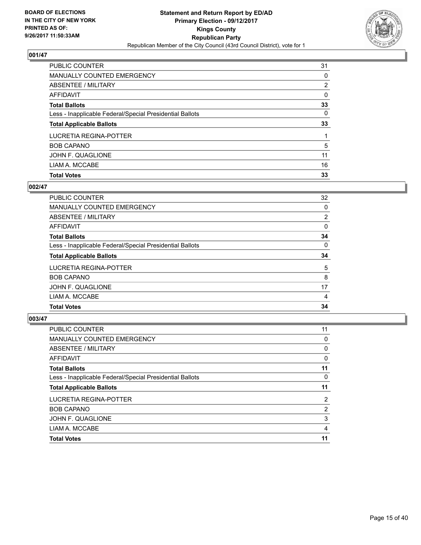

| PUBLIC COUNTER                                           | 31 |
|----------------------------------------------------------|----|
| <b>MANUALLY COUNTED EMERGENCY</b>                        | 0  |
| <b>ABSENTEE / MILITARY</b>                               | 2  |
| AFFIDAVIT                                                | 0  |
| <b>Total Ballots</b>                                     | 33 |
| Less - Inapplicable Federal/Special Presidential Ballots | 0  |
| <b>Total Applicable Ballots</b>                          | 33 |
| LUCRETIA REGINA-POTTER                                   |    |
| <b>BOB CAPANO</b>                                        | 5  |
| JOHN F. QUAGLIONE                                        | 11 |
| LIAM A. MCCABE                                           | 16 |
| <b>Total Votes</b>                                       | 33 |

# **002/47**

| <b>PUBLIC COUNTER</b>                                    | 32 |
|----------------------------------------------------------|----|
| <b>MANUALLY COUNTED EMERGENCY</b>                        | 0  |
| ABSENTEE / MILITARY                                      | 2  |
| AFFIDAVIT                                                | 0  |
| <b>Total Ballots</b>                                     | 34 |
| Less - Inapplicable Federal/Special Presidential Ballots | 0  |
| <b>Total Applicable Ballots</b>                          | 34 |
| LUCRETIA REGINA-POTTER                                   | 5  |
| <b>BOB CAPANO</b>                                        | 8  |
| JOHN F. QUAGLIONE                                        | 17 |
| LIAM A. MCCABE                                           | 4  |
| <b>Total Votes</b>                                       | 34 |

| <b>PUBLIC COUNTER</b>                                    | 11             |
|----------------------------------------------------------|----------------|
| MANUALLY COUNTED EMERGENCY                               | 0              |
| ABSENTEE / MILITARY                                      | 0              |
| AFFIDAVIT                                                | 0              |
| <b>Total Ballots</b>                                     | 11             |
| Less - Inapplicable Federal/Special Presidential Ballots | 0              |
| <b>Total Applicable Ballots</b>                          | 11             |
| LUCRETIA REGINA-POTTER                                   | $\overline{2}$ |
| <b>BOB CAPANO</b>                                        | 2              |
| JOHN F. QUAGLIONE                                        | 3              |
| LIAM A. MCCABE                                           | 4              |
| <b>Total Votes</b>                                       | 11             |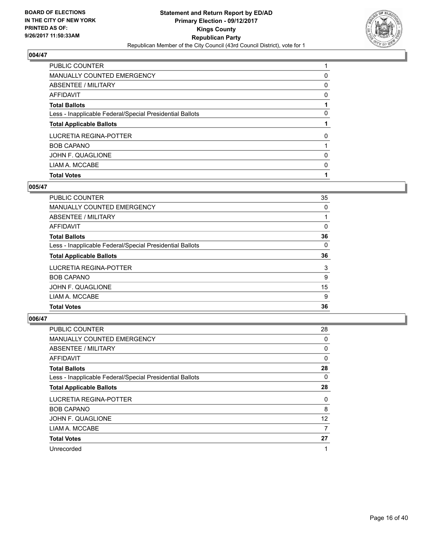

| <b>Total Votes</b>                                       |   |
|----------------------------------------------------------|---|
| LIAM A. MCCABE                                           | 0 |
| JOHN F. QUAGLIONE                                        | 0 |
| <b>BOB CAPANO</b>                                        |   |
| LUCRETIA REGINA-POTTER                                   | 0 |
| <b>Total Applicable Ballots</b>                          |   |
| Less - Inapplicable Federal/Special Presidential Ballots | 0 |
| <b>Total Ballots</b>                                     |   |
| AFFIDAVIT                                                | 0 |
| ABSENTEE / MILITARY                                      | 0 |
| <b>MANUALLY COUNTED EMERGENCY</b>                        | 0 |
| <b>PUBLIC COUNTER</b>                                    |   |

# **005/47**

| 35 |
|----|
| 0  |
|    |
| 0  |
| 36 |
| 0  |
| 36 |
| 3  |
| 9  |
| 15 |
| 9  |
| 36 |
|    |

| <b>PUBLIC COUNTER</b>                                    | 28 |
|----------------------------------------------------------|----|
| <b>MANUALLY COUNTED EMERGENCY</b>                        | 0  |
| ABSENTEE / MILITARY                                      | 0  |
| AFFIDAVIT                                                | 0  |
| <b>Total Ballots</b>                                     | 28 |
| Less - Inapplicable Federal/Special Presidential Ballots | 0  |
| <b>Total Applicable Ballots</b>                          | 28 |
| LUCRETIA REGINA-POTTER                                   | 0  |
| <b>BOB CAPANO</b>                                        | 8  |
| JOHN F. QUAGLIONE                                        | 12 |
| LIAM A. MCCABE                                           | 7  |
| <b>Total Votes</b>                                       | 27 |
| Unrecorded                                               | 1  |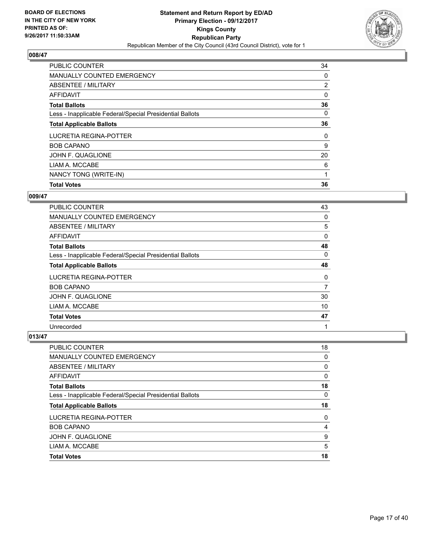

| <b>PUBLIC COUNTER</b>                                    | 34             |
|----------------------------------------------------------|----------------|
| <b>MANUALLY COUNTED EMERGENCY</b>                        | 0              |
| ABSENTEE / MILITARY                                      | $\overline{2}$ |
| AFFIDAVIT                                                | 0              |
| <b>Total Ballots</b>                                     | 36             |
| Less - Inapplicable Federal/Special Presidential Ballots | 0              |
| <b>Total Applicable Ballots</b>                          | 36             |
| LUCRETIA REGINA-POTTER                                   | 0              |
| <b>BOB CAPANO</b>                                        | 9              |
| JOHN F. QUAGLIONE                                        | 20             |
| LIAM A. MCCABE                                           | 6              |
| NANCY TONG (WRITE-IN)                                    |                |
| <b>Total Votes</b>                                       | 36             |

#### **009/47**

| <b>PUBLIC COUNTER</b>                                    | 43 |
|----------------------------------------------------------|----|
| <b>MANUALLY COUNTED EMERGENCY</b>                        | 0  |
| ABSENTEE / MILITARY                                      | 5  |
| <b>AFFIDAVIT</b>                                         | 0  |
| <b>Total Ballots</b>                                     | 48 |
| Less - Inapplicable Federal/Special Presidential Ballots | 0  |
| <b>Total Applicable Ballots</b>                          | 48 |
| LUCRETIA REGINA-POTTER                                   | 0  |
| <b>BOB CAPANO</b>                                        | 7  |
| JOHN F. QUAGLIONE                                        | 30 |
| LIAM A. MCCABE                                           | 10 |
| <b>Total Votes</b>                                       | 47 |
| Unrecorded                                               | 1  |

| <b>PUBLIC COUNTER</b>                                    | 18       |
|----------------------------------------------------------|----------|
| <b>MANUALLY COUNTED EMERGENCY</b>                        | $\Omega$ |
| <b>ABSENTEE / MILITARY</b>                               | 0        |
| <b>AFFIDAVIT</b>                                         | 0        |
| <b>Total Ballots</b>                                     | 18       |
| Less - Inapplicable Federal/Special Presidential Ballots | 0        |
|                                                          |          |
| <b>Total Applicable Ballots</b>                          | 18       |
| LUCRETIA REGINA-POTTER                                   | 0        |
| <b>BOB CAPANO</b>                                        | 4        |
| JOHN F. QUAGLIONE                                        | 9        |
| LIAM A. MCCABE                                           | 5        |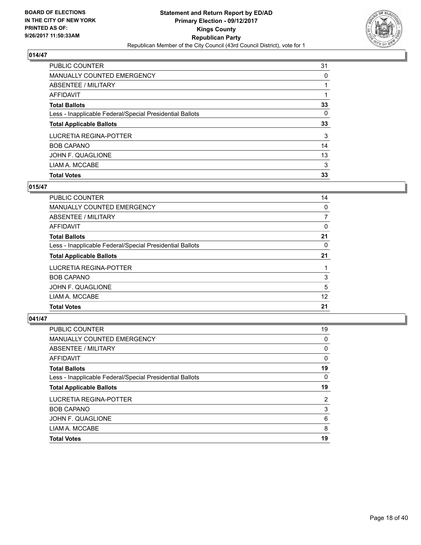

| <b>PUBLIC COUNTER</b>                                    | 31 |
|----------------------------------------------------------|----|
| <b>MANUALLY COUNTED EMERGENCY</b>                        | 0  |
| ABSENTEE / MILITARY                                      |    |
| AFFIDAVIT                                                |    |
| <b>Total Ballots</b>                                     | 33 |
| Less - Inapplicable Federal/Special Presidential Ballots | 0  |
| <b>Total Applicable Ballots</b>                          | 33 |
| LUCRETIA REGINA-POTTER                                   | 3  |
| <b>BOB CAPANO</b>                                        | 14 |
| JOHN F. QUAGLIONE                                        | 13 |
| LIAM A. MCCABE                                           | 3  |
| <b>Total Votes</b>                                       | 33 |

## **015/47**

| <b>PUBLIC COUNTER</b>                                    | 14 |
|----------------------------------------------------------|----|
| <b>MANUALLY COUNTED EMERGENCY</b>                        | 0  |
| ABSENTEE / MILITARY                                      | 7  |
| AFFIDAVIT                                                | 0  |
| <b>Total Ballots</b>                                     | 21 |
| Less - Inapplicable Federal/Special Presidential Ballots | 0  |
| <b>Total Applicable Ballots</b>                          | 21 |
| LUCRETIA REGINA-POTTER                                   |    |
| <b>BOB CAPANO</b>                                        | 3  |
| JOHN F. QUAGLIONE                                        | 5  |
| LIAM A. MCCABE                                           | 12 |
| <b>Total Votes</b>                                       | 21 |

| <b>PUBLIC COUNTER</b>                                    | 19 |
|----------------------------------------------------------|----|
| <b>MANUALLY COUNTED EMERGENCY</b>                        | 0  |
| ABSENTEE / MILITARY                                      | 0  |
| AFFIDAVIT                                                | 0  |
| <b>Total Ballots</b>                                     | 19 |
| Less - Inapplicable Federal/Special Presidential Ballots | 0  |
| <b>Total Applicable Ballots</b>                          | 19 |
|                                                          |    |
| LUCRETIA REGINA-POTTER                                   | 2  |
| <b>BOB CAPANO</b>                                        | 3  |
| JOHN F. QUAGLIONE                                        | 6  |
| LIAM A. MCCABE                                           | 8  |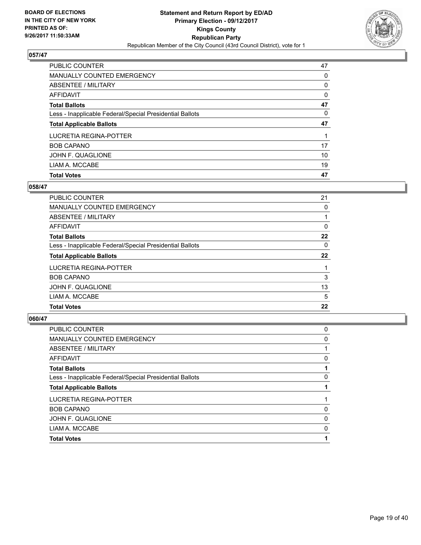

| <b>Total Votes</b>                                       | 47       |
|----------------------------------------------------------|----------|
| LIAM A. MCCABE                                           | 19       |
| JOHN F. QUAGLIONE                                        | 10       |
| <b>BOB CAPANO</b>                                        | 17       |
| LUCRETIA REGINA-POTTER                                   |          |
| <b>Total Applicable Ballots</b>                          | 47       |
| Less - Inapplicable Federal/Special Presidential Ballots | 0        |
| <b>Total Ballots</b>                                     | 47       |
| AFFIDAVIT                                                | $\Omega$ |
| ABSENTEE / MILITARY                                      | 0        |
| MANUALLY COUNTED EMERGENCY                               | 0        |
| <b>PUBLIC COUNTER</b>                                    | 47       |

# **058/47**

| 21 |
|----|
| 0  |
|    |
| 0  |
| 22 |
| 0  |
| 22 |
|    |
| 3  |
| 13 |
| 5  |
| 22 |
|    |

| 0 |
|---|
| 0 |
|   |
| 0 |
|   |
| 0 |
|   |
|   |
| 0 |
| 0 |
| 0 |
|   |
|   |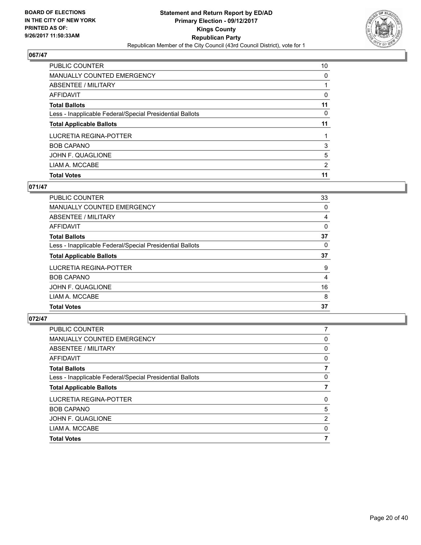

| PUBLIC COUNTER                                           | 10 |
|----------------------------------------------------------|----|
| MANUALLY COUNTED EMERGENCY                               | 0  |
| ABSENTEE / MILITARY                                      |    |
| <b>AFFIDAVIT</b>                                         | 0  |
| <b>Total Ballots</b>                                     | 11 |
| Less - Inapplicable Federal/Special Presidential Ballots | 0  |
| <b>Total Applicable Ballots</b>                          | 11 |
| LUCRETIA REGINA-POTTER                                   |    |
| <b>BOB CAPANO</b>                                        | 3  |
| JOHN F. QUAGLIONE                                        | 5  |
| LIAM A. MCCABE                                           | 2  |
| <b>Total Votes</b>                                       | 11 |

# **071/47**

| <b>PUBLIC COUNTER</b>                                    | 33 |
|----------------------------------------------------------|----|
| <b>MANUALLY COUNTED EMERGENCY</b>                        | 0  |
| ABSENTEE / MILITARY                                      | 4  |
| AFFIDAVIT                                                | 0  |
| <b>Total Ballots</b>                                     | 37 |
| Less - Inapplicable Federal/Special Presidential Ballots | 0  |
| <b>Total Applicable Ballots</b>                          | 37 |
| LUCRETIA REGINA-POTTER                                   | 9  |
| <b>BOB CAPANO</b>                                        | 4  |
| JOHN F. QUAGLIONE                                        | 16 |
| LIAM A. MCCABE                                           | 8  |
| <b>Total Votes</b>                                       | 37 |

| 7 |
|---|
| 0 |
| 0 |
| 0 |
|   |
| 0 |
|   |
| 0 |
| 5 |
| 2 |
| 0 |
| 7 |
|   |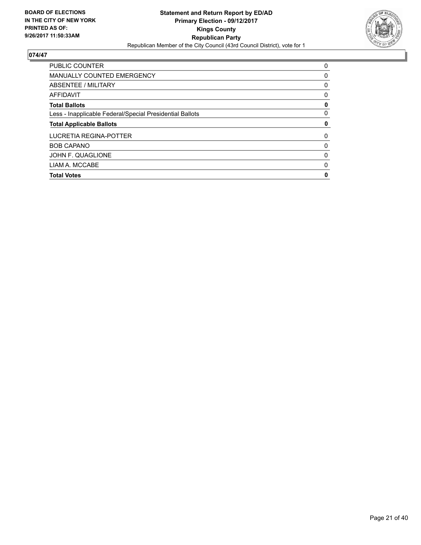

| <b>PUBLIC COUNTER</b>                                    | 0 |
|----------------------------------------------------------|---|
| <b>MANUALLY COUNTED EMERGENCY</b>                        | 0 |
| ABSENTEE / MILITARY                                      | 0 |
| <b>AFFIDAVIT</b>                                         | 0 |
| <b>Total Ballots</b>                                     | 0 |
| Less - Inapplicable Federal/Special Presidential Ballots | 0 |
| <b>Total Applicable Ballots</b>                          | 0 |
|                                                          | 0 |
| LUCRETIA REGINA-POTTER                                   |   |
| <b>BOB CAPANO</b>                                        | 0 |
| JOHN F. QUAGLIONE                                        | 0 |
| LIAM A. MCCABE                                           | 0 |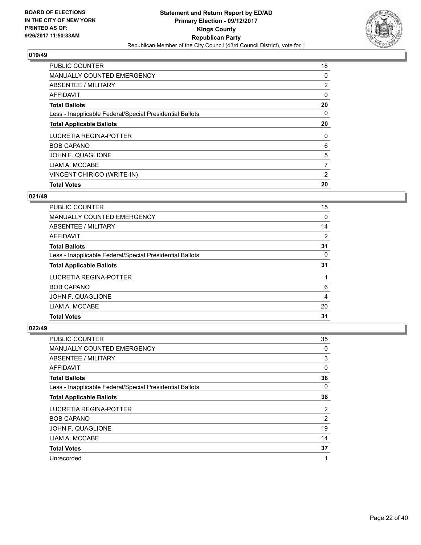

| <b>Total Votes</b>                                       | 20             |
|----------------------------------------------------------|----------------|
| VINCENT CHIRICO (WRITE-IN)                               | 2              |
| LIAM A. MCCABE                                           | 7              |
| JOHN F. QUAGLIONE                                        | 5              |
| <b>BOB CAPANO</b>                                        | 6              |
| LUCRETIA REGINA-POTTER                                   | 0              |
| <b>Total Applicable Ballots</b>                          | 20             |
| Less - Inapplicable Federal/Special Presidential Ballots | 0              |
| <b>Total Ballots</b>                                     | 20             |
| AFFIDAVIT                                                | 0              |
| ABSENTEE / MILITARY                                      | $\overline{2}$ |
| <b>MANUALLY COUNTED EMERGENCY</b>                        | 0              |
| <b>PUBLIC COUNTER</b>                                    | 18             |

# **021/49**

| <b>PUBLIC COUNTER</b>                                    | 15 |
|----------------------------------------------------------|----|
| <b>MANUALLY COUNTED EMERGENCY</b>                        | 0  |
| ABSENTEE / MILITARY                                      | 14 |
| AFFIDAVIT                                                | 2  |
| <b>Total Ballots</b>                                     | 31 |
| Less - Inapplicable Federal/Special Presidential Ballots | 0  |
| <b>Total Applicable Ballots</b>                          | 31 |
| LUCRETIA REGINA-POTTER                                   |    |
| <b>BOB CAPANO</b>                                        | 6  |
| JOHN F. QUAGLIONE                                        | 4  |
| LIAM A. MCCABE                                           | 20 |
| <b>Total Votes</b>                                       | 31 |

| <b>PUBLIC COUNTER</b>                                    | 35 |
|----------------------------------------------------------|----|
| MANUALLY COUNTED EMERGENCY                               | 0  |
| ABSENTEE / MILITARY                                      | 3  |
| AFFIDAVIT                                                | 0  |
| <b>Total Ballots</b>                                     | 38 |
| Less - Inapplicable Federal/Special Presidential Ballots | 0  |
| <b>Total Applicable Ballots</b>                          | 38 |
| LUCRETIA REGINA-POTTER                                   | 2  |
| <b>BOB CAPANO</b>                                        | 2  |
| JOHN F. QUAGLIONE                                        | 19 |
| LIAM A. MCCABE                                           | 14 |
| <b>Total Votes</b>                                       | 37 |
| Unrecorded                                               | 1  |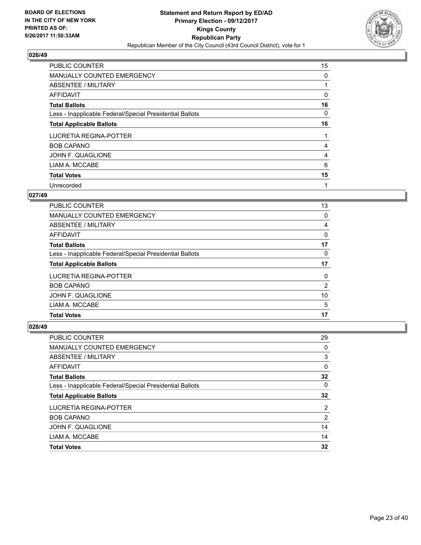

| <b>PUBLIC COUNTER</b>                                    | 15 |
|----------------------------------------------------------|----|
| MANUALLY COUNTED EMERGENCY                               | 0  |
| ABSENTEE / MILITARY                                      |    |
| AFFIDAVIT                                                | 0  |
| <b>Total Ballots</b>                                     | 16 |
| Less - Inapplicable Federal/Special Presidential Ballots | 0  |
| <b>Total Applicable Ballots</b>                          | 16 |
| LUCRETIA REGINA-POTTER                                   |    |
| <b>BOB CAPANO</b>                                        | 4  |
| JOHN F. QUAGLIONE                                        | 4  |
| LIAM A. MCCABE                                           | 6  |
| <b>Total Votes</b>                                       | 15 |
| Unrecorded                                               | 1  |

#### **027/49**

| <b>PUBLIC COUNTER</b>                                    | 13 |
|----------------------------------------------------------|----|
| MANUALLY COUNTED EMERGENCY                               | 0  |
| ABSENTEE / MILITARY                                      | 4  |
| AFFIDAVIT                                                | 0  |
| <b>Total Ballots</b>                                     | 17 |
| Less - Inapplicable Federal/Special Presidential Ballots | 0  |
| <b>Total Applicable Ballots</b>                          | 17 |
| LUCRETIA REGINA-POTTER                                   | 0  |
| <b>BOB CAPANO</b>                                        | 2  |
| JOHN F. QUAGLIONE                                        | 10 |
| LIAM A. MCCABE                                           | 5  |
| <b>Total Votes</b>                                       | 17 |

| <b>PUBLIC COUNTER</b>                                    | 29             |
|----------------------------------------------------------|----------------|
| <b>MANUALLY COUNTED EMERGENCY</b>                        | 0              |
| ABSENTEE / MILITARY                                      | 3              |
| AFFIDAVIT                                                | 0              |
| <b>Total Ballots</b>                                     | 32             |
| Less - Inapplicable Federal/Special Presidential Ballots | 0              |
| <b>Total Applicable Ballots</b>                          | 32             |
| LUCRETIA REGINA-POTTER                                   | $\overline{2}$ |
| <b>BOB CAPANO</b>                                        | 2              |
| JOHN F. QUAGLIONE                                        | 14             |
| LIAM A. MCCABE                                           | 14             |
| <b>Total Votes</b>                                       | 32             |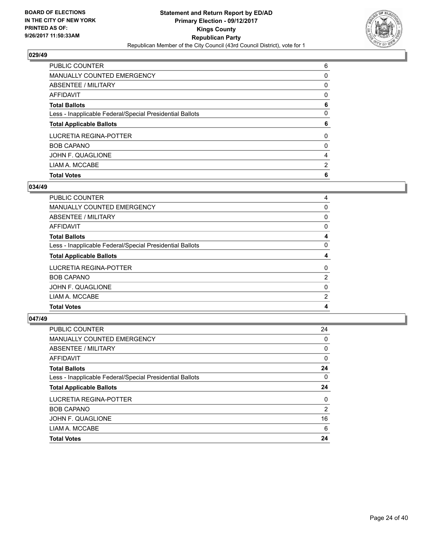

| <b>Total Votes</b>                                       | 6              |
|----------------------------------------------------------|----------------|
| LIAM A. MCCABE                                           | $\overline{2}$ |
| JOHN F. QUAGLIONE                                        | 4              |
| <b>BOB CAPANO</b>                                        | 0              |
| <b>LUCRETIA REGINA-POTTER</b>                            | 0              |
| <b>Total Applicable Ballots</b>                          | 6              |
| Less - Inapplicable Federal/Special Presidential Ballots | $\Omega$       |
| <b>Total Ballots</b>                                     | 6              |
| <b>AFFIDAVIT</b>                                         | 0              |
| ABSENTEE / MILITARY                                      | 0              |
| <b>MANUALLY COUNTED EMERGENCY</b>                        | 0              |
| PUBLIC COUNTER                                           | 6              |

#### **034/49**

| <b>PUBLIC COUNTER</b>                                    | 4 |
|----------------------------------------------------------|---|
| MANUALLY COUNTED EMERGENCY                               | 0 |
| ABSENTEE / MILITARY                                      | 0 |
| AFFIDAVIT                                                | 0 |
| <b>Total Ballots</b>                                     | 4 |
| Less - Inapplicable Federal/Special Presidential Ballots | 0 |
| <b>Total Applicable Ballots</b>                          | 4 |
| LUCRETIA REGINA-POTTER                                   | 0 |
| <b>BOB CAPANO</b>                                        | 2 |
| JOHN F. QUAGLIONE                                        | 0 |
| LIAM A. MCCABE                                           | 2 |
| <b>Total Votes</b>                                       | 4 |
|                                                          |   |

| <b>PUBLIC COUNTER</b>                                    | 24             |
|----------------------------------------------------------|----------------|
| MANUALLY COUNTED EMERGENCY                               | $\Omega$       |
| ABSENTEE / MILITARY                                      | 0              |
| AFFIDAVIT                                                | 0              |
| <b>Total Ballots</b>                                     | 24             |
| Less - Inapplicable Federal/Special Presidential Ballots | 0              |
| <b>Total Applicable Ballots</b>                          | 24             |
| LUCRETIA REGINA-POTTER                                   | 0              |
| <b>BOB CAPANO</b>                                        | $\overline{2}$ |
| JOHN F. QUAGLIONE                                        | 16             |
| LIAM A. MCCABE                                           | 6              |
| <b>Total Votes</b>                                       | 24             |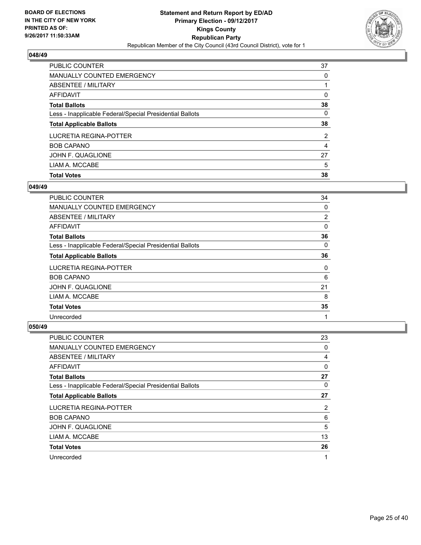

| <b>PUBLIC COUNTER</b>                                    | 37             |
|----------------------------------------------------------|----------------|
| <b>MANUALLY COUNTED EMERGENCY</b>                        | 0              |
| ABSENTEE / MILITARY                                      |                |
| AFFIDAVIT                                                | 0              |
| <b>Total Ballots</b>                                     | 38             |
| Less - Inapplicable Federal/Special Presidential Ballots | 0              |
| <b>Total Applicable Ballots</b>                          | 38             |
| LUCRETIA REGINA-POTTER                                   | $\overline{2}$ |
| <b>BOB CAPANO</b>                                        | 4              |
| JOHN F. QUAGLIONE                                        | 27             |
| LIAM A. MCCABE                                           | 5              |
| <b>Total Votes</b>                                       | 38             |

## **049/49**

| <b>PUBLIC COUNTER</b>                                    | 34 |
|----------------------------------------------------------|----|
| <b>MANUALLY COUNTED EMERGENCY</b>                        | 0  |
| ABSENTEE / MILITARY                                      | 2  |
| <b>AFFIDAVIT</b>                                         | 0  |
| <b>Total Ballots</b>                                     | 36 |
| Less - Inapplicable Federal/Special Presidential Ballots | 0  |
| <b>Total Applicable Ballots</b>                          | 36 |
| LUCRETIA REGINA-POTTER                                   | 0  |
| <b>BOB CAPANO</b>                                        | 6  |
| JOHN F. QUAGLIONE                                        | 21 |
| LIAM A. MCCABE                                           | 8  |
| <b>Total Votes</b>                                       | 35 |
| Unrecorded                                               | 1  |

| <b>PUBLIC COUNTER</b>                                    | 23 |
|----------------------------------------------------------|----|
| <b>MANUALLY COUNTED EMERGENCY</b>                        | 0  |
| ABSENTEE / MILITARY                                      | 4  |
| AFFIDAVIT                                                | 0  |
| <b>Total Ballots</b>                                     | 27 |
| Less - Inapplicable Federal/Special Presidential Ballots | 0  |
| <b>Total Applicable Ballots</b>                          | 27 |
| LUCRETIA REGINA-POTTER                                   | 2  |
| <b>BOB CAPANO</b>                                        | 6  |
| JOHN F. QUAGLIONE                                        | 5  |
| LIAM A. MCCABE                                           | 13 |
| <b>Total Votes</b>                                       | 26 |
| Unrecorded                                               | 1  |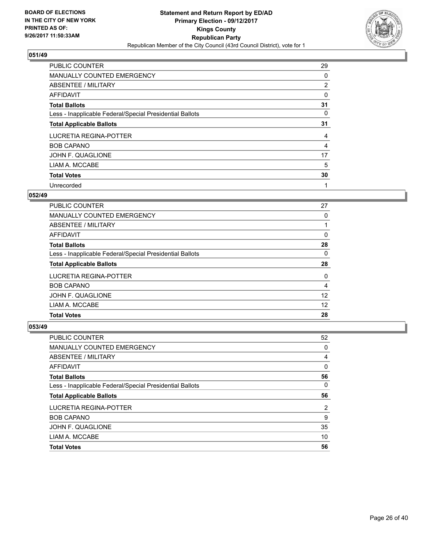

| <b>PUBLIC COUNTER</b>                                    | 29             |
|----------------------------------------------------------|----------------|
| MANUALLY COUNTED EMERGENCY                               | 0              |
| ABSENTEE / MILITARY                                      | $\overline{2}$ |
| <b>AFFIDAVIT</b>                                         | 0              |
| <b>Total Ballots</b>                                     | 31             |
| Less - Inapplicable Federal/Special Presidential Ballots | 0              |
| <b>Total Applicable Ballots</b>                          | 31             |
| LUCRETIA REGINA-POTTER                                   | 4              |
| <b>BOB CAPANO</b>                                        | 4              |
| JOHN F. QUAGLIONE                                        | 17             |
| LIAM A. MCCABE                                           | 5              |
| <b>Total Votes</b>                                       | 30             |
| Unrecorded                                               | 1              |

#### **052/49**

| <b>PUBLIC COUNTER</b>                                    | 27 |
|----------------------------------------------------------|----|
| <b>MANUALLY COUNTED EMERGENCY</b>                        | 0  |
| ABSENTEE / MILITARY                                      |    |
| AFFIDAVIT                                                | 0  |
| <b>Total Ballots</b>                                     | 28 |
| Less - Inapplicable Federal/Special Presidential Ballots | 0  |
| <b>Total Applicable Ballots</b>                          | 28 |
| LUCRETIA REGINA-POTTER                                   | 0  |
| <b>BOB CAPANO</b>                                        | 4  |
| JOHN F. QUAGLIONE                                        | 12 |
| LIAM A. MCCABE                                           | 12 |
| <b>Total Votes</b>                                       | 28 |

| <b>PUBLIC COUNTER</b>                                    | 52 |
|----------------------------------------------------------|----|
| <b>MANUALLY COUNTED EMERGENCY</b>                        | 0  |
| ABSENTEE / MILITARY                                      | 4  |
| AFFIDAVIT                                                | 0  |
| <b>Total Ballots</b>                                     | 56 |
| Less - Inapplicable Federal/Special Presidential Ballots | 0  |
| <b>Total Applicable Ballots</b>                          | 56 |
| LUCRETIA REGINA-POTTER                                   | 2  |
| <b>BOB CAPANO</b>                                        | 9  |
| JOHN F. QUAGLIONE                                        | 35 |
| LIAM A. MCCABE                                           | 10 |
|                                                          |    |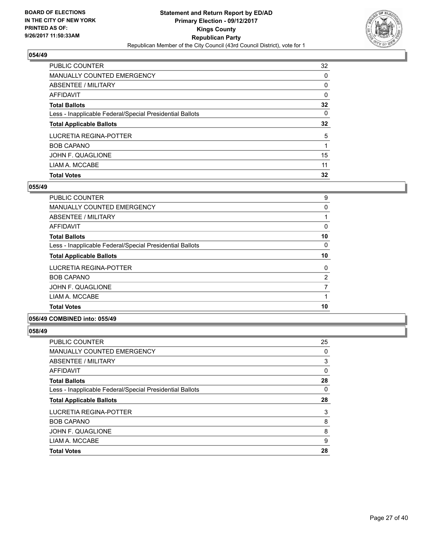

| <b>PUBLIC COUNTER</b>                                    | 32 |
|----------------------------------------------------------|----|
| <b>MANUALLY COUNTED EMERGENCY</b>                        | 0  |
| ABSENTEE / MILITARY                                      | 0  |
| AFFIDAVIT                                                | 0  |
| <b>Total Ballots</b>                                     | 32 |
| Less - Inapplicable Federal/Special Presidential Ballots | 0  |
| <b>Total Applicable Ballots</b>                          | 32 |
| LUCRETIA REGINA-POTTER                                   | 5  |
| <b>BOB CAPANO</b>                                        |    |
| JOHN F. QUAGLIONE                                        | 15 |
| LIAM A. MCCABE                                           | 11 |
| <b>Total Votes</b>                                       | 32 |

#### **055/49**

| <b>Total Votes</b>                                       | 10 |
|----------------------------------------------------------|----|
| LIAM A. MCCABE                                           |    |
| JOHN F. QUAGLIONE                                        | 7  |
| <b>BOB CAPANO</b>                                        | 2  |
| LUCRETIA REGINA-POTTER                                   | 0  |
| <b>Total Applicable Ballots</b>                          | 10 |
| Less - Inapplicable Federal/Special Presidential Ballots | 0  |
| <b>Total Ballots</b>                                     | 10 |
| AFFIDAVIT                                                | 0  |
| ABSENTEE / MILITARY                                      |    |
| <b>MANUALLY COUNTED EMERGENCY</b>                        | 0  |
| <b>PUBLIC COUNTER</b>                                    | 9  |

#### **056/49 COMBINED into: 055/49**

| PUBLIC COUNTER                                           | 25 |
|----------------------------------------------------------|----|
| <b>MANUALLY COUNTED EMERGENCY</b>                        | 0  |
| ABSENTEE / MILITARY                                      | 3  |
| <b>AFFIDAVIT</b>                                         | 0  |
| <b>Total Ballots</b>                                     | 28 |
| Less - Inapplicable Federal/Special Presidential Ballots | 0  |
| <b>Total Applicable Ballots</b>                          | 28 |
| LUCRETIA REGINA-POTTER                                   | 3  |
| <b>BOB CAPANO</b>                                        | 8  |
| JOHN F. QUAGLIONE                                        | 8  |
| LIAM A. MCCABE                                           | 9  |
| <b>Total Votes</b>                                       | 28 |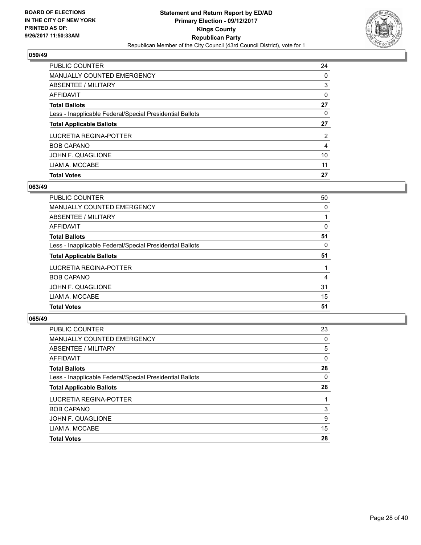

| <b>PUBLIC COUNTER</b>                                    | 24             |
|----------------------------------------------------------|----------------|
| <b>MANUALLY COUNTED EMERGENCY</b>                        | 0              |
| ABSENTEE / MILITARY                                      | 3              |
| AFFIDAVIT                                                | 0              |
| <b>Total Ballots</b>                                     | 27             |
| Less - Inapplicable Federal/Special Presidential Ballots | 0              |
| <b>Total Applicable Ballots</b>                          | 27             |
| LUCRETIA REGINA-POTTER                                   | $\overline{2}$ |
| <b>BOB CAPANO</b>                                        | 4              |
| JOHN F. QUAGLIONE                                        | 10             |
| LIAM A. MCCABE                                           | 11             |
| <b>Total Votes</b>                                       | 27             |

#### **063/49**

| 50 |
|----|
| 0  |
|    |
| 0  |
| 51 |
| 0  |
| 51 |
|    |
| 4  |
| 31 |
| 15 |
| 51 |
|    |

| <b>PUBLIC COUNTER</b>                                    | 23 |
|----------------------------------------------------------|----|
| <b>MANUALLY COUNTED EMERGENCY</b>                        | 0  |
| ABSENTEE / MILITARY                                      | 5  |
| AFFIDAVIT                                                | 0  |
| <b>Total Ballots</b>                                     | 28 |
| Less - Inapplicable Federal/Special Presidential Ballots | 0  |
| <b>Total Applicable Ballots</b>                          | 28 |
| LUCRETIA REGINA-POTTER                                   |    |
| <b>BOB CAPANO</b>                                        | 3  |
| JOHN F. QUAGLIONE                                        | 9  |
| LIAM A. MCCABE                                           | 15 |
| <b>Total Votes</b>                                       | 28 |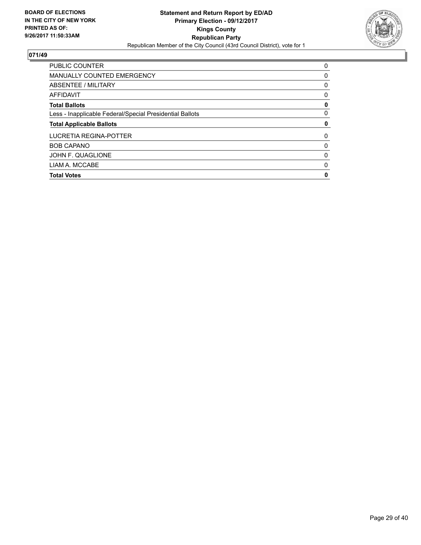

| <b>PUBLIC COUNTER</b>                                    | 0 |
|----------------------------------------------------------|---|
| <b>MANUALLY COUNTED EMERGENCY</b>                        | 0 |
| ABSENTEE / MILITARY                                      | 0 |
| <b>AFFIDAVIT</b>                                         | 0 |
| <b>Total Ballots</b>                                     | 0 |
| Less - Inapplicable Federal/Special Presidential Ballots | 0 |
| <b>Total Applicable Ballots</b>                          | 0 |
| LUCRETIA REGINA-POTTER                                   | 0 |
|                                                          | 0 |
| <b>BOB CAPANO</b>                                        |   |
| JOHN F. QUAGLIONE                                        | 0 |
| LIAM A. MCCABE                                           | 0 |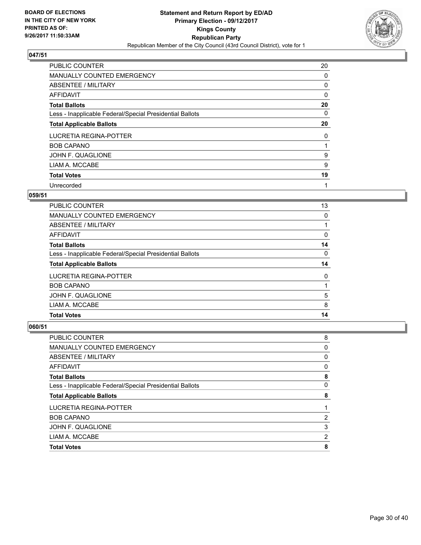

| <b>PUBLIC COUNTER</b>                                    | 20 |
|----------------------------------------------------------|----|
| MANUALLY COUNTED EMERGENCY                               | 0  |
| ABSENTEE / MILITARY                                      | 0  |
| <b>AFFIDAVIT</b>                                         | 0  |
| <b>Total Ballots</b>                                     | 20 |
| Less - Inapplicable Federal/Special Presidential Ballots | 0  |
| <b>Total Applicable Ballots</b>                          | 20 |
| LUCRETIA REGINA-POTTER                                   | 0  |
| <b>BOB CAPANO</b>                                        |    |
| JOHN F. QUAGLIONE                                        | 9  |
| LIAM A. MCCABE                                           | 9  |
| <b>Total Votes</b>                                       | 19 |
| Unrecorded                                               | 1  |

#### **059/51**

| <b>PUBLIC COUNTER</b>                                    | 13 |
|----------------------------------------------------------|----|
| MANUALLY COUNTED EMERGENCY                               | 0  |
| ABSENTEE / MILITARY                                      |    |
| AFFIDAVIT                                                | 0  |
| <b>Total Ballots</b>                                     | 14 |
| Less - Inapplicable Federal/Special Presidential Ballots | 0  |
| <b>Total Applicable Ballots</b>                          | 14 |
| LUCRETIA REGINA-POTTER                                   | 0  |
| <b>BOB CAPANO</b>                                        |    |
| JOHN F. QUAGLIONE                                        | 5  |
| LIAM A. MCCABE                                           | 8  |
| <b>Total Votes</b>                                       | 14 |

| PUBLIC COUNTER                                           | 8 |
|----------------------------------------------------------|---|
| <b>MANUALLY COUNTED EMERGENCY</b>                        | 0 |
| ABSENTEE / MILITARY                                      | 0 |
| AFFIDAVIT                                                | 0 |
| <b>Total Ballots</b>                                     | 8 |
| Less - Inapplicable Federal/Special Presidential Ballots | 0 |
| <b>Total Applicable Ballots</b>                          | 8 |
| LUCRETIA REGINA-POTTER                                   |   |
| <b>BOB CAPANO</b>                                        | 2 |
| JOHN F. QUAGLIONE                                        | 3 |
| LIAM A. MCCABE                                           | 2 |
| <b>Total Votes</b>                                       | 8 |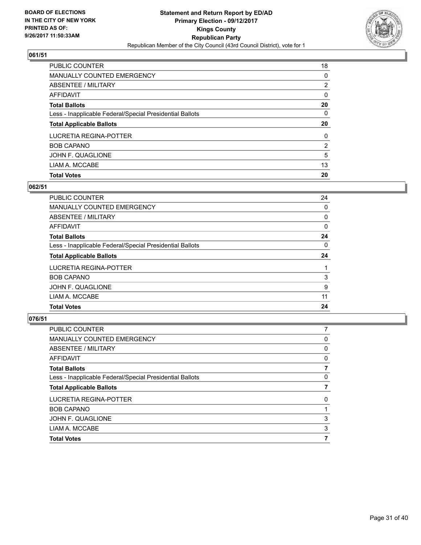

| <b>PUBLIC COUNTER</b>                                    | 18 |
|----------------------------------------------------------|----|
| <b>MANUALLY COUNTED EMERGENCY</b>                        | 0  |
| ABSENTEE / MILITARY                                      | 2  |
| AFFIDAVIT                                                | 0  |
| <b>Total Ballots</b>                                     | 20 |
| Less - Inapplicable Federal/Special Presidential Ballots | 0  |
| <b>Total Applicable Ballots</b>                          | 20 |
| LUCRETIA REGINA-POTTER                                   | 0  |
| <b>BOB CAPANO</b>                                        | 2  |
| JOHN F. QUAGLIONE                                        | 5  |
| LIAM A. MCCABE                                           | 13 |
| <b>Total Votes</b>                                       | 20 |

# **062/51**

| <b>PUBLIC COUNTER</b>                                    | 24 |
|----------------------------------------------------------|----|
| MANUALLY COUNTED EMERGENCY                               | 0  |
| ABSENTEE / MILITARY                                      | 0  |
| AFFIDAVIT                                                | 0  |
| <b>Total Ballots</b>                                     | 24 |
| Less - Inapplicable Federal/Special Presidential Ballots | 0  |
| <b>Total Applicable Ballots</b>                          | 24 |
| LUCRETIA REGINA-POTTER                                   |    |
| <b>BOB CAPANO</b>                                        | 3  |
| JOHN F. QUAGLIONE                                        | 9  |
| LIAM A. MCCABE                                           | 11 |
| <b>Total Votes</b>                                       | 24 |
|                                                          |    |

| <b>PUBLIC COUNTER</b>                                    | 7 |
|----------------------------------------------------------|---|
| <b>MANUALLY COUNTED EMERGENCY</b>                        | 0 |
| ABSENTEE / MILITARY                                      | 0 |
| AFFIDAVIT                                                | 0 |
| <b>Total Ballots</b>                                     |   |
| Less - Inapplicable Federal/Special Presidential Ballots | 0 |
| <b>Total Applicable Ballots</b>                          |   |
| LUCRETIA REGINA-POTTER                                   | 0 |
| <b>BOB CAPANO</b>                                        |   |
| JOHN F. QUAGLIONE                                        | 3 |
| LIAM A. MCCABE                                           | 3 |
| <b>Total Votes</b>                                       | 7 |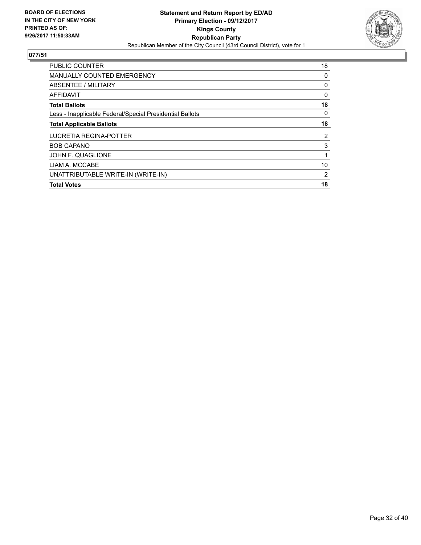

| <b>PUBLIC COUNTER</b>                                    | 18             |
|----------------------------------------------------------|----------------|
| <b>MANUALLY COUNTED EMERGENCY</b>                        | 0              |
| ABSENTEE / MILITARY                                      | 0              |
| AFFIDAVIT                                                | 0              |
| <b>Total Ballots</b>                                     | 18             |
| Less - Inapplicable Federal/Special Presidential Ballots | 0              |
| <b>Total Applicable Ballots</b>                          | 18             |
| LUCRETIA REGINA-POTTER                                   | $\overline{2}$ |
| <b>BOB CAPANO</b>                                        | 3              |
| JOHN F. QUAGLIONE                                        | 1              |
| LIAM A. MCCABE                                           | 10             |
| UNATTRIBUTABLE WRITE-IN (WRITE-IN)                       | 2              |
| <b>Total Votes</b>                                       | 18             |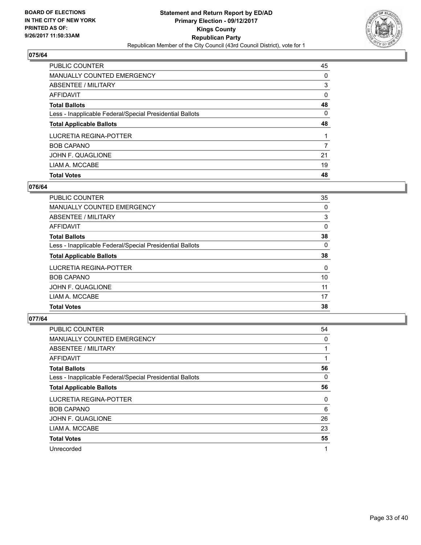

| <b>PUBLIC COUNTER</b>                                    | 45 |
|----------------------------------------------------------|----|
| <b>MANUALLY COUNTED EMERGENCY</b>                        | 0  |
| ABSENTEE / MILITARY                                      | 3  |
| AFFIDAVIT                                                | 0  |
| <b>Total Ballots</b>                                     | 48 |
| Less - Inapplicable Federal/Special Presidential Ballots | 0  |
| <b>Total Applicable Ballots</b>                          | 48 |
| LUCRETIA REGINA-POTTER                                   |    |
| <b>BOB CAPANO</b>                                        |    |
|                                                          | 7  |
| JOHN F. QUAGLIONE                                        | 21 |
| LIAM A. MCCABE                                           | 19 |

## **076/64**

| PUBLIC COUNTER                                           | 35 |
|----------------------------------------------------------|----|
| <b>MANUALLY COUNTED EMERGENCY</b>                        | 0  |
| ABSENTEE / MILITARY                                      | 3  |
| AFFIDAVIT                                                | 0  |
| <b>Total Ballots</b>                                     | 38 |
| Less - Inapplicable Federal/Special Presidential Ballots | 0  |
| <b>Total Applicable Ballots</b>                          | 38 |
| LUCRETIA REGINA-POTTER                                   | 0  |
| <b>BOB CAPANO</b>                                        | 10 |
| JOHN F. QUAGLIONE                                        | 11 |
| LIAM A. MCCABE                                           | 17 |
| <b>Total Votes</b>                                       | 38 |

| <b>PUBLIC COUNTER</b>                                    | 54 |
|----------------------------------------------------------|----|
| MANUALLY COUNTED EMERGENCY                               | 0  |
| ABSENTEE / MILITARY                                      |    |
| AFFIDAVIT                                                |    |
| <b>Total Ballots</b>                                     | 56 |
| Less - Inapplicable Federal/Special Presidential Ballots | 0  |
| <b>Total Applicable Ballots</b>                          | 56 |
| LUCRETIA REGINA-POTTER                                   | 0  |
| <b>BOB CAPANO</b>                                        | 6  |
| JOHN F. QUAGLIONE                                        | 26 |
| LIAM A. MCCABE                                           | 23 |
| <b>Total Votes</b>                                       | 55 |
| Unrecorded                                               | 1  |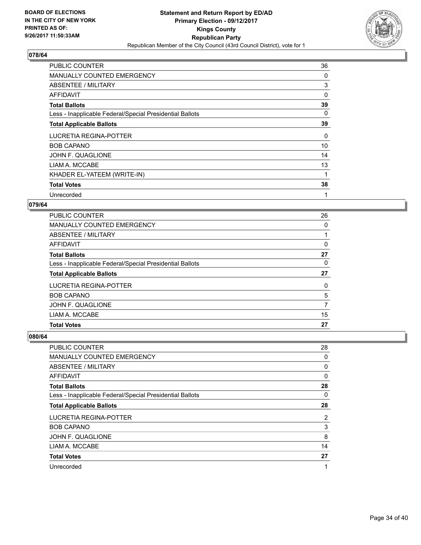

| <b>PUBLIC COUNTER</b>                                    | 36 |
|----------------------------------------------------------|----|
| <b>MANUALLY COUNTED EMERGENCY</b>                        | 0  |
| ABSENTEE / MILITARY                                      | 3  |
| AFFIDAVIT                                                | 0  |
| <b>Total Ballots</b>                                     | 39 |
| Less - Inapplicable Federal/Special Presidential Ballots | 0  |
| <b>Total Applicable Ballots</b>                          | 39 |
| LUCRETIA REGINA-POTTER                                   | 0  |
| <b>BOB CAPANO</b>                                        | 10 |
| JOHN F. QUAGLIONE                                        | 14 |
| LIAM A. MCCABE                                           | 13 |
| KHADER EL-YATEEM (WRITE-IN)                              | 1  |
| <b>Total Votes</b>                                       | 38 |
| Unrecorded                                               | 1  |

#### **079/64**

| <b>PUBLIC COUNTER</b>                                    | 26 |
|----------------------------------------------------------|----|
| MANUALLY COUNTED EMERGENCY                               | 0  |
| ABSENTEE / MILITARY                                      |    |
| AFFIDAVIT                                                | 0  |
| <b>Total Ballots</b>                                     | 27 |
| Less - Inapplicable Federal/Special Presidential Ballots | 0  |
| <b>Total Applicable Ballots</b>                          | 27 |
| LUCRETIA REGINA-POTTER                                   | 0  |
| <b>BOB CAPANO</b>                                        | 5  |
| JOHN F. QUAGLIONE                                        | 7  |
| LIAM A. MCCABE                                           | 15 |
| <b>Total Votes</b>                                       | 27 |

| <b>PUBLIC COUNTER</b>                                    | 28 |
|----------------------------------------------------------|----|
| MANUALLY COUNTED EMERGENCY                               | 0  |
| ABSENTEE / MILITARY                                      | 0  |
| AFFIDAVIT                                                | 0  |
| <b>Total Ballots</b>                                     | 28 |
| Less - Inapplicable Federal/Special Presidential Ballots | 0  |
| <b>Total Applicable Ballots</b>                          | 28 |
| LUCRETIA REGINA-POTTER                                   | 2  |
| <b>BOB CAPANO</b>                                        | 3  |
| JOHN F. QUAGLIONE                                        | 8  |
| LIAM A. MCCABE                                           | 14 |
| <b>Total Votes</b>                                       | 27 |
| Unrecorded                                               | 1  |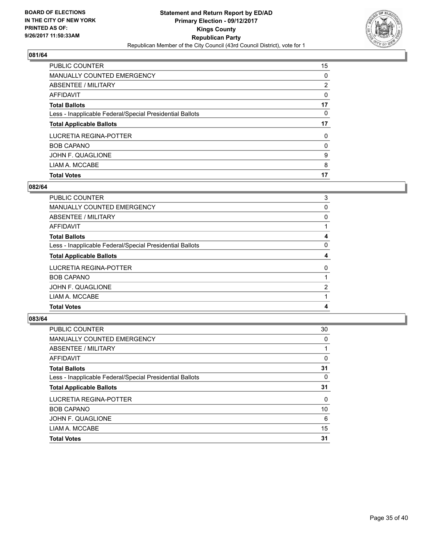

| <b>Total Votes</b>                                       | 17             |
|----------------------------------------------------------|----------------|
| LIAM A. MCCABE                                           | 8              |
| JOHN F. QUAGLIONE                                        | 9              |
| <b>BOB CAPANO</b>                                        | 0              |
| LUCRETIA REGINA-POTTER                                   | 0              |
| <b>Total Applicable Ballots</b>                          | 17             |
| Less - Inapplicable Federal/Special Presidential Ballots | 0              |
| <b>Total Ballots</b>                                     | 17             |
| AFFIDAVIT                                                | 0              |
| ABSENTEE / MILITARY                                      | $\overline{2}$ |
| MANUALLY COUNTED EMERGENCY                               | 0              |
| <b>PUBLIC COUNTER</b>                                    | 15             |

## **082/64**

| PUBLIC COUNTER                                           | 3 |
|----------------------------------------------------------|---|
| <b>MANUALLY COUNTED EMERGENCY</b>                        | 0 |
| ABSENTEE / MILITARY                                      | 0 |
| AFFIDAVIT                                                |   |
| <b>Total Ballots</b>                                     | 4 |
| Less - Inapplicable Federal/Special Presidential Ballots | 0 |
| <b>Total Applicable Ballots</b>                          | 4 |
| LUCRETIA REGINA-POTTER                                   | 0 |
| <b>BOB CAPANO</b>                                        |   |
| JOHN F. QUAGLIONE                                        | 2 |
| LIAM A. MCCABE                                           |   |
| <b>Total Votes</b>                                       | 4 |
|                                                          |   |

| <b>PUBLIC COUNTER</b>                                    | 30 |
|----------------------------------------------------------|----|
| MANUALLY COUNTED EMERGENCY                               | 0  |
| ABSENTEE / MILITARY                                      |    |
| AFFIDAVIT                                                | 0  |
| <b>Total Ballots</b>                                     | 31 |
| Less - Inapplicable Federal/Special Presidential Ballots | 0  |
| <b>Total Applicable Ballots</b>                          | 31 |
| LUCRETIA REGINA-POTTER                                   | 0  |
| <b>BOB CAPANO</b>                                        | 10 |
| JOHN F. QUAGLIONE                                        | 6  |
| LIAM A. MCCABE                                           | 15 |
| <b>Total Votes</b>                                       | 31 |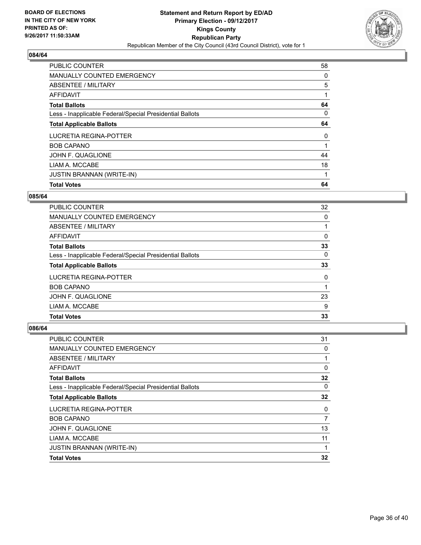

| <b>Total Votes</b>                                       | 64 |
|----------------------------------------------------------|----|
| <b>JUSTIN BRANNAN (WRITE-IN)</b>                         |    |
| LIAM A. MCCABE                                           | 18 |
| JOHN F. QUAGLIONE                                        | 44 |
| <b>BOB CAPANO</b>                                        |    |
| LUCRETIA REGINA-POTTER                                   | 0  |
| <b>Total Applicable Ballots</b>                          | 64 |
| Less - Inapplicable Federal/Special Presidential Ballots | 0  |
| <b>Total Ballots</b>                                     | 64 |
| AFFIDAVIT                                                | 1  |
| ABSENTEE / MILITARY                                      | 5  |
| <b>MANUALLY COUNTED EMERGENCY</b>                        | 0  |
| <b>PUBLIC COUNTER</b>                                    | 58 |

#### **085/64**

| <b>PUBLIC COUNTER</b>                                    | 32 |
|----------------------------------------------------------|----|
| <b>MANUALLY COUNTED EMERGENCY</b>                        | 0  |
| ABSENTEE / MILITARY                                      |    |
| <b>AFFIDAVIT</b>                                         | 0  |
| <b>Total Ballots</b>                                     | 33 |
| Less - Inapplicable Federal/Special Presidential Ballots | 0  |
| <b>Total Applicable Ballots</b>                          | 33 |
| LUCRETIA REGINA-POTTER                                   | 0  |
| <b>BOB CAPANO</b>                                        |    |
| JOHN F. QUAGLIONE                                        | 23 |
| LIAM A. MCCABE                                           | 9  |
| <b>Total Votes</b>                                       | 33 |

| <b>PUBLIC COUNTER</b>                                    | 31 |
|----------------------------------------------------------|----|
| <b>MANUALLY COUNTED EMERGENCY</b>                        | 0  |
| ABSENTEE / MILITARY                                      | 1  |
| <b>AFFIDAVIT</b>                                         | 0  |
| <b>Total Ballots</b>                                     | 32 |
| Less - Inapplicable Federal/Special Presidential Ballots | 0  |
| <b>Total Applicable Ballots</b>                          | 32 |
| <b>LUCRETIA REGINA-POTTER</b>                            | 0  |
| <b>BOB CAPANO</b>                                        | 7  |
| JOHN F. QUAGLIONE                                        | 13 |
| LIAM A. MCCABE                                           | 11 |
| <b>JUSTIN BRANNAN (WRITE-IN)</b>                         | 1  |
| <b>Total Votes</b>                                       | 32 |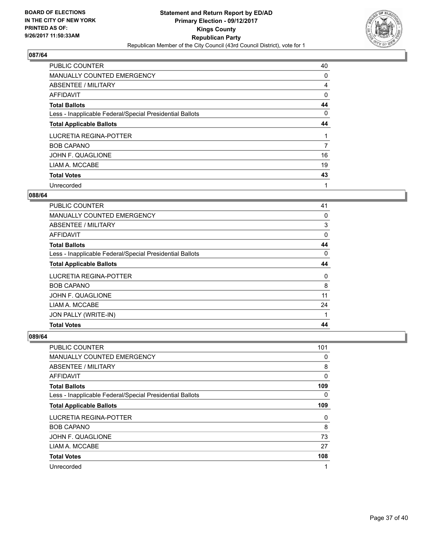

| <b>PUBLIC COUNTER</b>                                    | 40 |
|----------------------------------------------------------|----|
| MANUALLY COUNTED EMERGENCY                               | 0  |
| ABSENTEE / MILITARY                                      | 4  |
| AFFIDAVIT                                                | 0  |
| <b>Total Ballots</b>                                     | 44 |
| Less - Inapplicable Federal/Special Presidential Ballots | 0  |
| <b>Total Applicable Ballots</b>                          | 44 |
| LUCRETIA REGINA-POTTER                                   |    |
| <b>BOB CAPANO</b>                                        | 7  |
| JOHN F. QUAGLIONE                                        | 16 |
| LIAM A. MCCABE                                           | 19 |
| <b>Total Votes</b>                                       | 43 |
| Unrecorded                                               | 1  |

#### **088/64**

| <b>PUBLIC COUNTER</b>                                    | 41 |
|----------------------------------------------------------|----|
| <b>MANUALLY COUNTED EMERGENCY</b>                        | 0  |
| <b>ABSENTEE / MILITARY</b>                               | 3  |
| <b>AFFIDAVIT</b>                                         | 0  |
| <b>Total Ballots</b>                                     | 44 |
| Less - Inapplicable Federal/Special Presidential Ballots | 0  |
| <b>Total Applicable Ballots</b>                          | 44 |
| LUCRETIA REGINA-POTTER                                   | 0  |
| <b>BOB CAPANO</b>                                        | 8  |
| JOHN F. QUAGLIONE                                        | 11 |
| LIAM A. MCCABE                                           | 24 |
| JON PALLY (WRITE-IN)                                     | 1  |
| <b>Total Votes</b>                                       | 44 |

| <b>PUBLIC COUNTER</b>                                    | 101 |
|----------------------------------------------------------|-----|
| MANUALLY COUNTED EMERGENCY                               | 0   |
| ABSENTEE / MILITARY                                      | 8   |
| AFFIDAVIT                                                | 0   |
| <b>Total Ballots</b>                                     | 109 |
| Less - Inapplicable Federal/Special Presidential Ballots | 0   |
| <b>Total Applicable Ballots</b>                          | 109 |
| <b>LUCRETIA REGINA-POTTER</b>                            | 0   |
| <b>BOB CAPANO</b>                                        | 8   |
| JOHN F. QUAGLIONE                                        | 73  |
| LIAM A. MCCABE                                           | 27  |
| <b>Total Votes</b>                                       | 108 |
| Unrecorded                                               | 1   |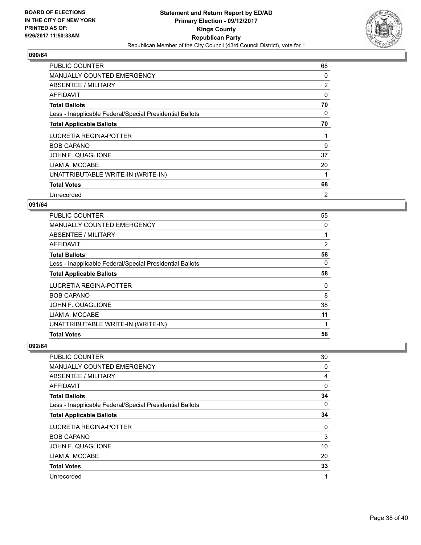

| <b>PUBLIC COUNTER</b>                                    | 68 |
|----------------------------------------------------------|----|
| <b>MANUALLY COUNTED EMERGENCY</b>                        | 0  |
| ABSENTEE / MILITARY                                      | 2  |
| AFFIDAVIT                                                | 0  |
| <b>Total Ballots</b>                                     | 70 |
| Less - Inapplicable Federal/Special Presidential Ballots | 0  |
| <b>Total Applicable Ballots</b>                          | 70 |
| LUCRETIA REGINA-POTTER                                   | 1  |
| <b>BOB CAPANO</b>                                        | 9  |
| JOHN F. QUAGLIONE                                        | 37 |
| LIAM A. MCCABE                                           | 20 |
| UNATTRIBUTABLE WRITE-IN (WRITE-IN)                       |    |
| <b>Total Votes</b>                                       | 68 |
|                                                          |    |

#### **091/64**

| <b>PUBLIC COUNTER</b>                                    | 55 |
|----------------------------------------------------------|----|
| MANUALLY COUNTED EMERGENCY                               | 0  |
| ABSENTEE / MILITARY                                      |    |
| AFFIDAVIT                                                | 2  |
| <b>Total Ballots</b>                                     | 58 |
| Less - Inapplicable Federal/Special Presidential Ballots | 0  |
| <b>Total Applicable Ballots</b>                          | 58 |
| LUCRETIA REGINA-POTTER                                   | 0  |
| <b>BOB CAPANO</b>                                        | 8  |
| JOHN F. QUAGLIONE                                        | 38 |
| LIAM A. MCCABE                                           | 11 |
| UNATTRIBUTABLE WRITE-IN (WRITE-IN)                       | 1  |
| <b>Total Votes</b>                                       | 58 |

| <b>PUBLIC COUNTER</b>                                    | 30 |
|----------------------------------------------------------|----|
| MANUALLY COUNTED EMERGENCY                               | 0  |
| ABSENTEE / MILITARY                                      | 4  |
| AFFIDAVIT                                                | 0  |
| <b>Total Ballots</b>                                     | 34 |
| Less - Inapplicable Federal/Special Presidential Ballots | 0  |
| <b>Total Applicable Ballots</b>                          | 34 |
| LUCRETIA REGINA-POTTER                                   | 0  |
| <b>BOB CAPANO</b>                                        | 3  |
| JOHN F. QUAGLIONE                                        | 10 |
| LIAM A. MCCABE                                           | 20 |
| <b>Total Votes</b>                                       | 33 |
| Unrecorded                                               | 1  |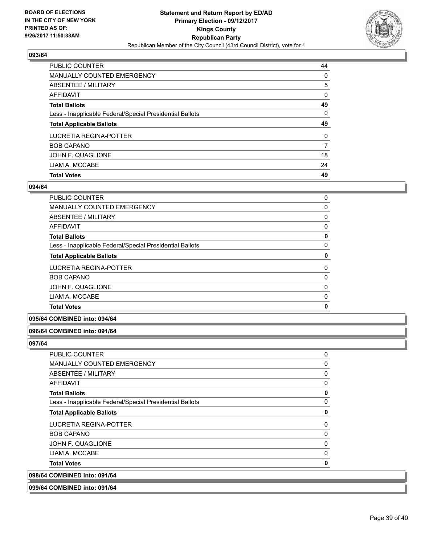

| <b>PUBLIC COUNTER</b>                                    | 44       |
|----------------------------------------------------------|----------|
| <b>MANUALLY COUNTED EMERGENCY</b>                        | 0        |
| ABSENTEE / MILITARY                                      | 5        |
| AFFIDAVIT                                                | 0        |
| <b>Total Ballots</b>                                     | 49       |
| Less - Inapplicable Federal/Special Presidential Ballots | 0        |
| <b>Total Applicable Ballots</b>                          | 49       |
| LUCRETIA REGINA-POTTER                                   | $\Omega$ |
| <b>BOB CAPANO</b>                                        | 7        |
| JOHN F. QUAGLIONE                                        | 18       |
|                                                          |          |
| LIAM A. MCCABE                                           | 24       |

#### **094/64**

| <b>PUBLIC COUNTER</b>                                    | 0 |
|----------------------------------------------------------|---|
| <b>MANUALLY COUNTED EMERGENCY</b>                        | 0 |
| ABSENTEE / MILITARY                                      | 0 |
| AFFIDAVIT                                                | 0 |
| <b>Total Ballots</b>                                     | 0 |
| Less - Inapplicable Federal/Special Presidential Ballots | 0 |
| <b>Total Applicable Ballots</b>                          | 0 |
| LUCRETIA REGINA-POTTER                                   | 0 |
| <b>BOB CAPANO</b>                                        | 0 |
| JOHN F. QUAGLIONE                                        | 0 |
| LIAM A. MCCABE                                           | 0 |
| <b>Total Votes</b>                                       | 0 |

## **095/64 COMBINED into: 094/64**

#### **096/64 COMBINED into: 091/64**

| <b>Total Ballots</b>                                     | 0 |
|----------------------------------------------------------|---|
| Less - Inapplicable Federal/Special Presidential Ballots | 0 |
| <b>Total Applicable Ballots</b>                          | 0 |
| LUCRETIA REGINA-POTTER                                   | 0 |
| <b>BOB CAPANO</b>                                        | 0 |
| JOHN F. QUAGLIONE                                        | 0 |
| LIAM A. MCCABE                                           | 0 |
| <b>Total Votes</b>                                       | 0 |